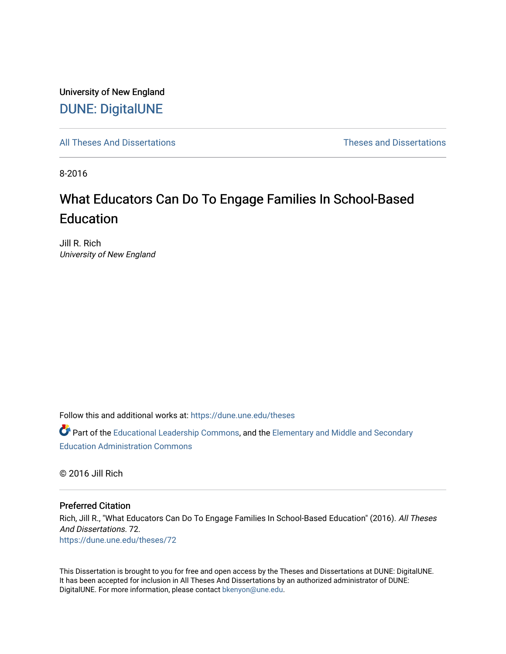University of New England [DUNE: DigitalUNE](https://dune.une.edu/) 

[All Theses And Dissertations](https://dune.une.edu/theses) [Theses and Dissertations](https://dune.une.edu/theses_dissertations) 

8-2016

# What Educators Can Do To Engage Families In School-Based **Education**

Jill R. Rich University of New England

Follow this and additional works at: [https://dune.une.edu/theses](https://dune.une.edu/theses?utm_source=dune.une.edu%2Ftheses%2F72&utm_medium=PDF&utm_campaign=PDFCoverPages) 

Part of the [Educational Leadership Commons,](http://network.bepress.com/hgg/discipline/1230?utm_source=dune.une.edu%2Ftheses%2F72&utm_medium=PDF&utm_campaign=PDFCoverPages) and the [Elementary and Middle and Secondary](http://network.bepress.com/hgg/discipline/790?utm_source=dune.une.edu%2Ftheses%2F72&utm_medium=PDF&utm_campaign=PDFCoverPages)  [Education Administration Commons](http://network.bepress.com/hgg/discipline/790?utm_source=dune.une.edu%2Ftheses%2F72&utm_medium=PDF&utm_campaign=PDFCoverPages) 

© 2016 Jill Rich

## Preferred Citation

Rich, Jill R., "What Educators Can Do To Engage Families In School-Based Education" (2016). All Theses And Dissertations. 72. [https://dune.une.edu/theses/72](https://dune.une.edu/theses/72?utm_source=dune.une.edu%2Ftheses%2F72&utm_medium=PDF&utm_campaign=PDFCoverPages) 

This Dissertation is brought to you for free and open access by the Theses and Dissertations at DUNE: DigitalUNE. It has been accepted for inclusion in All Theses And Dissertations by an authorized administrator of DUNE: DigitalUNE. For more information, please contact [bkenyon@une.edu.](mailto:bkenyon@une.edu)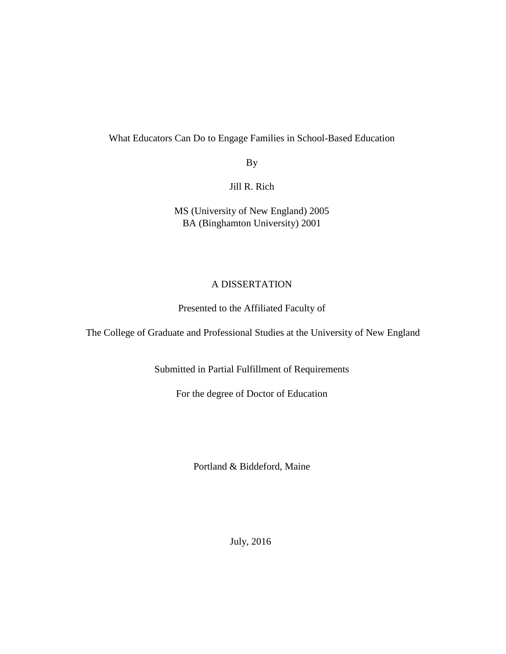# What Educators Can Do to Engage Families in School-Based Education

By

Jill R. Rich

MS (University of New England) 2005 BA (Binghamton University) 2001

## A DISSERTATION

## Presented to the Affiliated Faculty of

The College of Graduate and Professional Studies at the University of New England

Submitted in Partial Fulfillment of Requirements

For the degree of Doctor of Education

Portland & Biddeford, Maine

July, 2016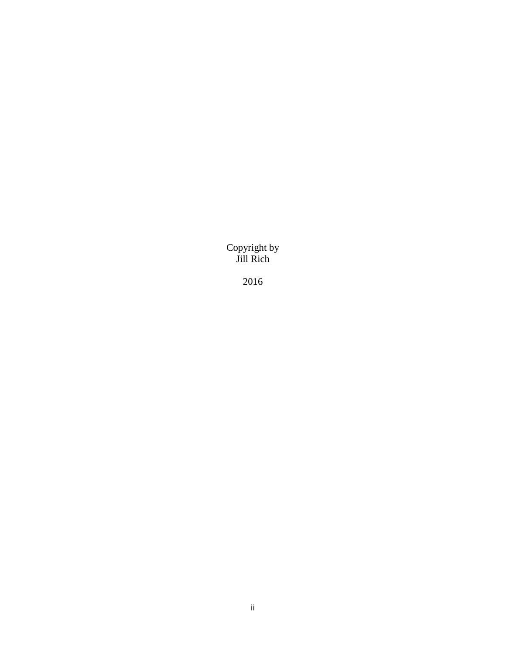Copyright by Jill Rich

2016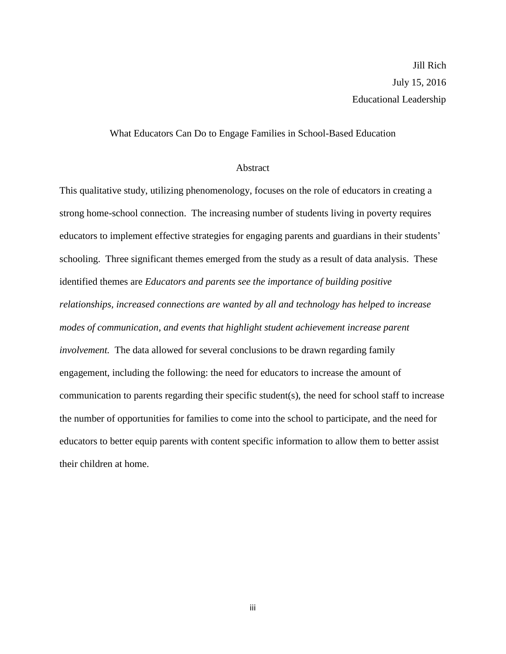## What Educators Can Do to Engage Families in School-Based Education

## **Abstract**

This qualitative study, utilizing phenomenology, focuses on the role of educators in creating a strong home-school connection. The increasing number of students living in poverty requires educators to implement effective strategies for engaging parents and guardians in their students' schooling. Three significant themes emerged from the study as a result of data analysis. These identified themes are *Educators and parents see the importance of building positive relationships, increased connections are wanted by all and technology has helped to increase modes of communication, and events that highlight student achievement increase parent involvement.* The data allowed for several conclusions to be drawn regarding family engagement, including the following: the need for educators to increase the amount of communication to parents regarding their specific student(s), the need for school staff to increase the number of opportunities for families to come into the school to participate, and the need for educators to better equip parents with content specific information to allow them to better assist their children at home.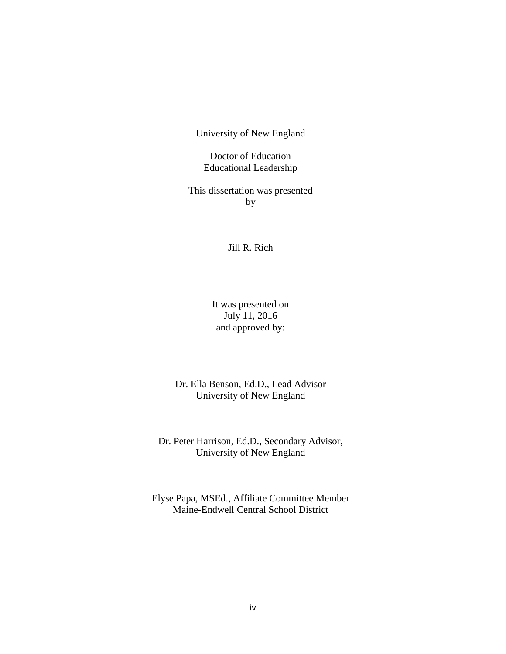University of New England

## Doctor of Education Educational Leadership

This dissertation was presented by

## Jill R. Rich

It was presented on July 11, 2016 and approved by:

Dr. Ella Benson, Ed.D., Lead Advisor University of New England

Dr. Peter Harrison, Ed.D., Secondary Advisor, University of New England

Elyse Papa, MSEd., Affiliate Committee Member Maine-Endwell Central School District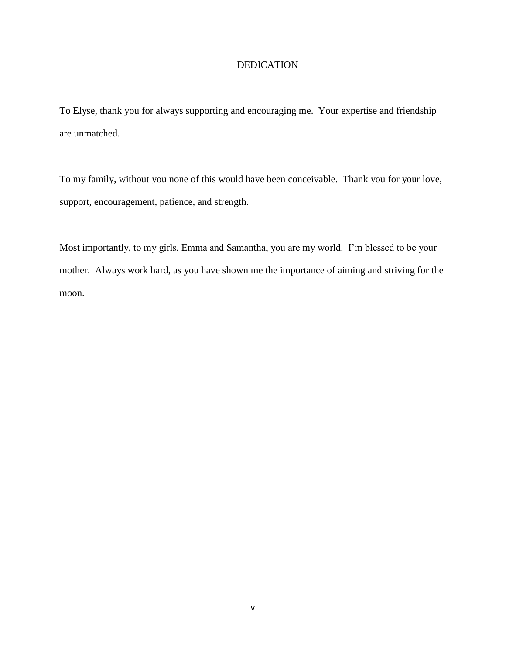## DEDICATION

To Elyse, thank you for always supporting and encouraging me. Your expertise and friendship are unmatched.

To my family, without you none of this would have been conceivable. Thank you for your love, support, encouragement, patience, and strength.

Most importantly, to my girls, Emma and Samantha, you are my world. I'm blessed to be your mother. Always work hard, as you have shown me the importance of aiming and striving for the moon.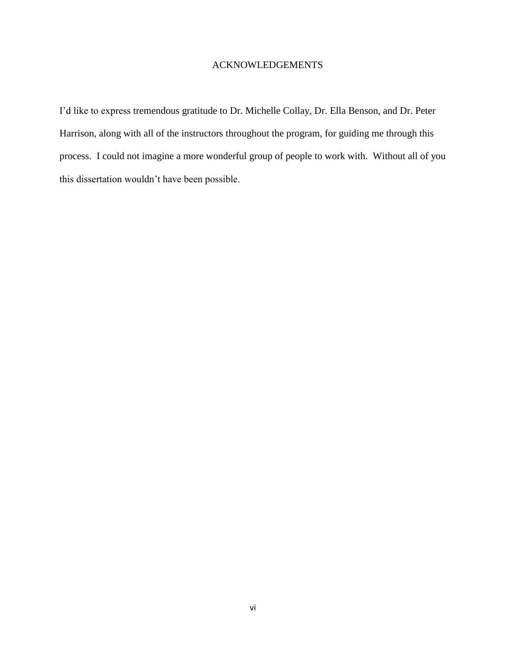## ACKNOWLEDGEMENTS

I'd like to express tremendous gratitude to Dr. Michelle Collay, Dr. Ella Benson, and Dr. Peter Harrison, along with all of the instructors throughout the program, for guiding me through this process. I could not imagine a more wonderful group of people to work with. Without all of you this dissertation wouldn't have been possible.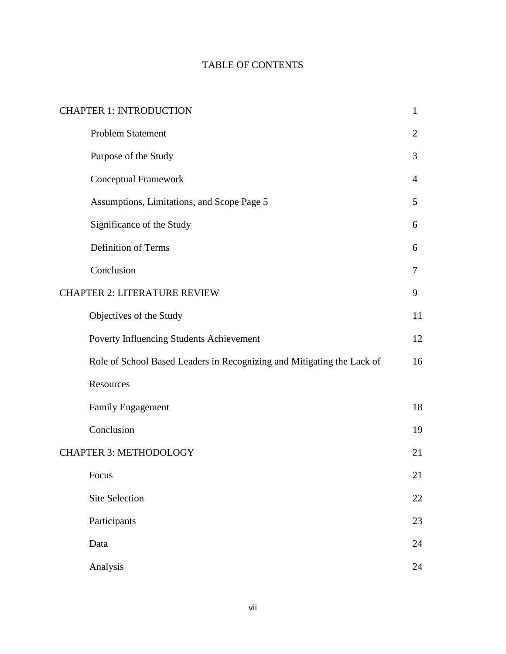# TABLE OF CONTENTS

| <b>CHAPTER 1: INTRODUCTION</b><br>$\mathbf{1}$ |                                                                        |                |  |  |
|------------------------------------------------|------------------------------------------------------------------------|----------------|--|--|
|                                                | <b>Problem Statement</b>                                               | $\overline{2}$ |  |  |
|                                                | Purpose of the Study                                                   | 3              |  |  |
|                                                | Conceptual Framework                                                   | 4              |  |  |
|                                                | Assumptions, Limitations, and Scope Page 5                             | 5              |  |  |
|                                                | Significance of the Study                                              | 6              |  |  |
|                                                | Definition of Terms                                                    | 6              |  |  |
|                                                | Conclusion                                                             | 7              |  |  |
| <b>CHAPTER 2: LITERATURE REVIEW</b>            |                                                                        |                |  |  |
|                                                | Objectives of the Study                                                | 11             |  |  |
|                                                | Poverty Influencing Students Achievement                               | 12             |  |  |
|                                                | Role of School Based Leaders in Recognizing and Mitigating the Lack of | 16             |  |  |
|                                                | Resources                                                              |                |  |  |
|                                                | <b>Family Engagement</b>                                               | 18             |  |  |
|                                                | Conclusion                                                             | 19             |  |  |
| <b>CHAPTER 3: METHODOLOGY</b>                  |                                                                        |                |  |  |
|                                                | Focus                                                                  | 21             |  |  |
|                                                | <b>Site Selection</b>                                                  | 22             |  |  |
|                                                | Participants                                                           | 23             |  |  |
|                                                | Data                                                                   | 24             |  |  |
|                                                | Analysis                                                               | 24             |  |  |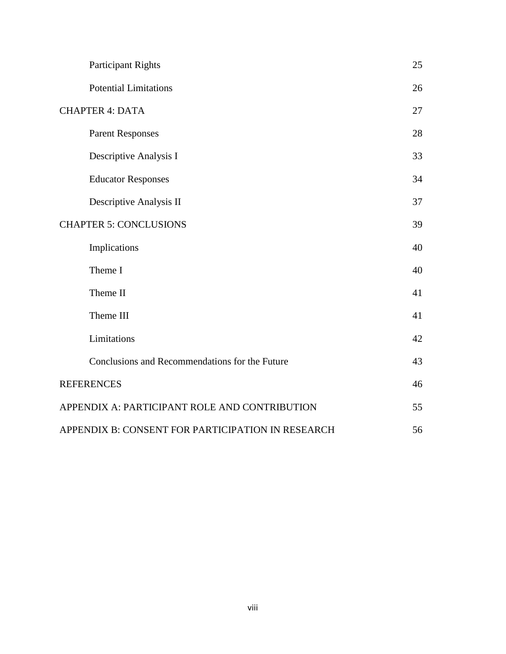| <b>Participant Rights</b>                               | 25 |  |
|---------------------------------------------------------|----|--|
| <b>Potential Limitations</b>                            | 26 |  |
| <b>CHAPTER 4: DATA</b>                                  |    |  |
| <b>Parent Responses</b>                                 | 28 |  |
| Descriptive Analysis I                                  | 33 |  |
| <b>Educator Responses</b>                               | 34 |  |
| Descriptive Analysis II                                 | 37 |  |
| <b>CHAPTER 5: CONCLUSIONS</b>                           |    |  |
| Implications                                            | 40 |  |
| Theme I                                                 | 40 |  |
| Theme II                                                | 41 |  |
| Theme III                                               | 41 |  |
| Limitations                                             | 42 |  |
| Conclusions and Recommendations for the Future          | 43 |  |
| <b>REFERENCES</b>                                       |    |  |
| APPENDIX A: PARTICIPANT ROLE AND CONTRIBUTION           |    |  |
| 56<br>APPENDIX B: CONSENT FOR PARTICIPATION IN RESEARCH |    |  |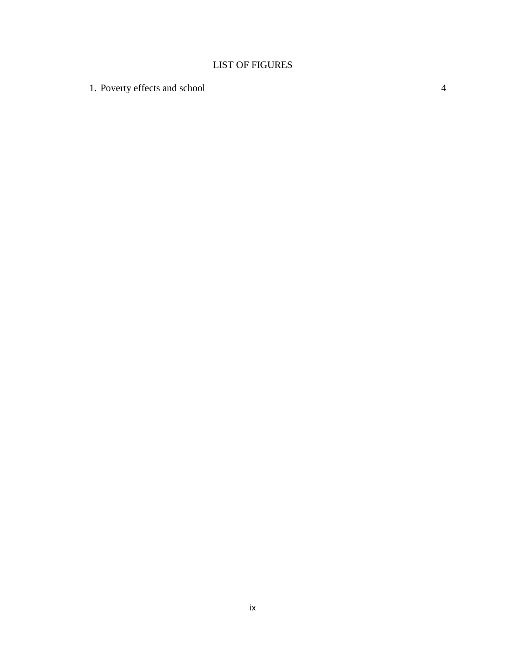# LIST OF FIGURES

1. Poverty effects and school 4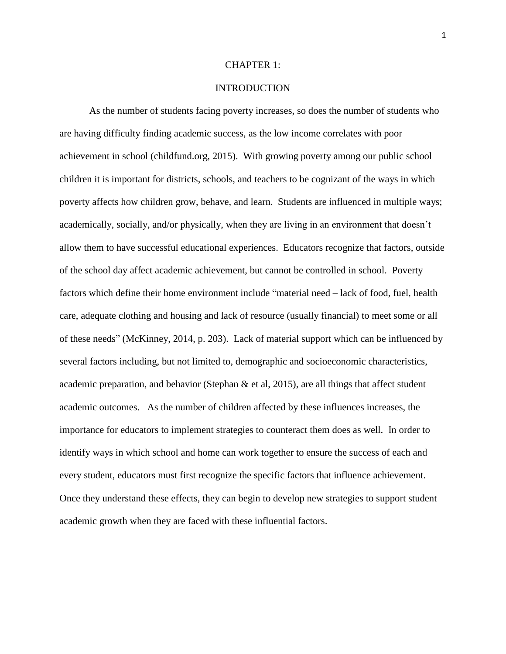## CHAPTER 1:

## **INTRODUCTION**

As the number of students facing poverty increases, so does the number of students who are having difficulty finding academic success, as the low income correlates with poor achievement in school (childfund.org, 2015). With growing poverty among our public school children it is important for districts, schools, and teachers to be cognizant of the ways in which poverty affects how children grow, behave, and learn. Students are influenced in multiple ways; academically, socially, and/or physically, when they are living in an environment that doesn't allow them to have successful educational experiences. Educators recognize that factors, outside of the school day affect academic achievement, but cannot be controlled in school. Poverty factors which define their home environment include "material need – lack of food, fuel, health care, adequate clothing and housing and lack of resource (usually financial) to meet some or all of these needs" (McKinney, 2014, p. 203). Lack of material support which can be influenced by several factors including, but not limited to, demographic and socioeconomic characteristics, academic preparation, and behavior (Stephan  $\&$  et al, 2015), are all things that affect student academic outcomes. As the number of children affected by these influences increases, the importance for educators to implement strategies to counteract them does as well. In order to identify ways in which school and home can work together to ensure the success of each and every student, educators must first recognize the specific factors that influence achievement. Once they understand these effects, they can begin to develop new strategies to support student academic growth when they are faced with these influential factors.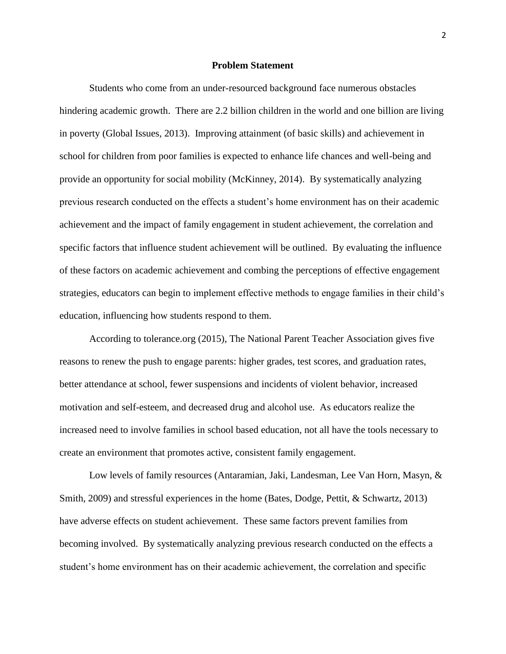### **Problem Statement**

Students who come from an under-resourced background face numerous obstacles hindering academic growth. There are 2.2 billion children in the world and one billion are living in poverty (Global Issues, 2013). Improving attainment (of basic skills) and achievement in school for children from poor families is expected to enhance life chances and well-being and provide an opportunity for social mobility (McKinney, 2014). By systematically analyzing previous research conducted on the effects a student's home environment has on their academic achievement and the impact of family engagement in student achievement, the correlation and specific factors that influence student achievement will be outlined. By evaluating the influence of these factors on academic achievement and combing the perceptions of effective engagement strategies, educators can begin to implement effective methods to engage families in their child's education, influencing how students respond to them.

According to tolerance.org (2015), The National Parent Teacher Association gives five reasons to renew the push to engage parents: higher grades, test scores, and graduation rates, better attendance at school, fewer suspensions and incidents of violent behavior, increased motivation and self-esteem, and decreased drug and alcohol use. As educators realize the increased need to involve families in school based education, not all have the tools necessary to create an environment that promotes active, consistent family engagement.

Low levels of family resources (Antaramian, Jaki, Landesman, Lee Van Horn, Masyn, & Smith, 2009) and stressful experiences in the home (Bates, Dodge, Pettit, & Schwartz, 2013) have adverse effects on student achievement. These same factors prevent families from becoming involved. By systematically analyzing previous research conducted on the effects a student's home environment has on their academic achievement, the correlation and specific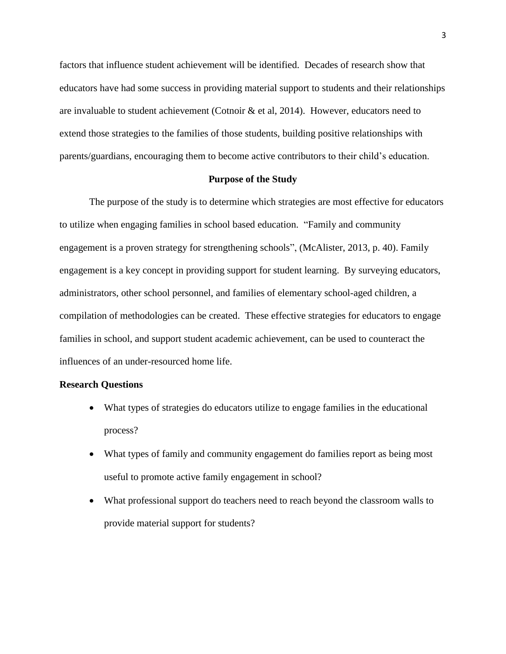factors that influence student achievement will be identified. Decades of research show that educators have had some success in providing material support to students and their relationships are invaluable to student achievement (Cotnoir  $\&$  et al, 2014). However, educators need to extend those strategies to the families of those students, building positive relationships with parents/guardians, encouraging them to become active contributors to their child's education.

## **Purpose of the Study**

The purpose of the study is to determine which strategies are most effective for educators to utilize when engaging families in school based education. "Family and community engagement is a proven strategy for strengthening schools", (McAlister, 2013, p. 40). Family engagement is a key concept in providing support for student learning. By surveying educators, administrators, other school personnel, and families of elementary school-aged children, a compilation of methodologies can be created. These effective strategies for educators to engage families in school, and support student academic achievement, can be used to counteract the influences of an under-resourced home life.

## **Research Questions**

- What types of strategies do educators utilize to engage families in the educational process?
- What types of family and community engagement do families report as being most useful to promote active family engagement in school?
- What professional support do teachers need to reach beyond the classroom walls to provide material support for students?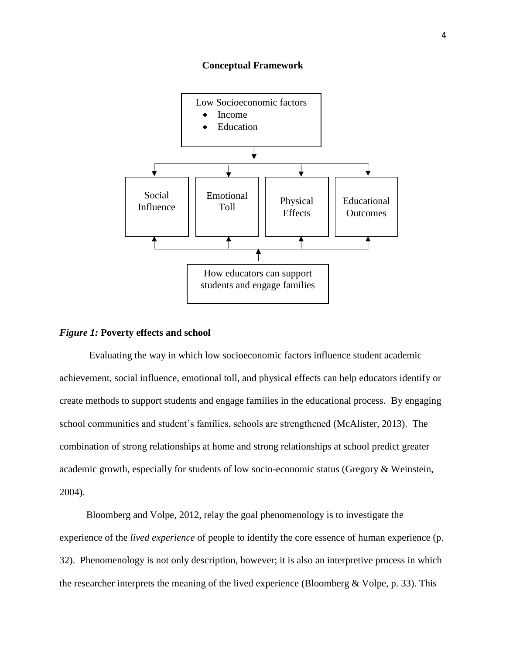### **Conceptual Framework**



#### *Figure 1:* **Poverty effects and school**

Evaluating the way in which low socioeconomic factors influence student academic achievement, social influence, emotional toll, and physical effects can help educators identify or create methods to support students and engage families in the educational process. By engaging school communities and student's families, schools are strengthened (McAlister, 2013). The combination of strong relationships at home and strong relationships at school predict greater academic growth, especially for students of low socio-economic status (Gregory & Weinstein, 2004).

 Bloomberg and Volpe, 2012, relay the goal phenomenology is to investigate the experience of the *lived experience* of people to identify the core essence of human experience (p. 32). Phenomenology is not only description, however; it is also an interpretive process in which the researcher interprets the meaning of the lived experience (Bloomberg  $& \text{Volpe}, p. 33)$ . This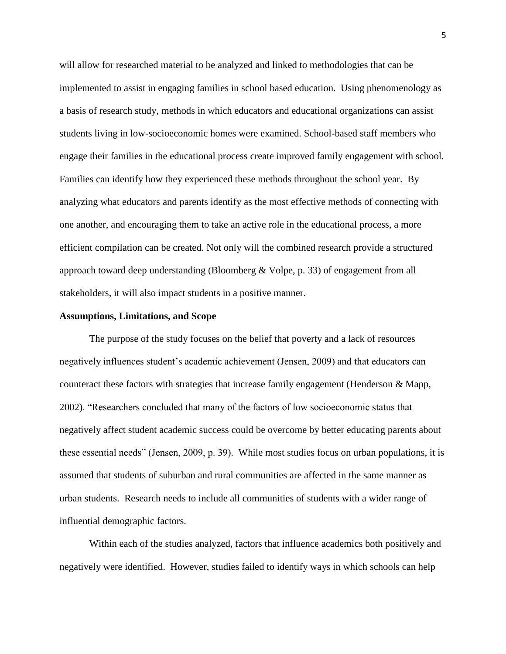will allow for researched material to be analyzed and linked to methodologies that can be implemented to assist in engaging families in school based education. Using phenomenology as a basis of research study, methods in which educators and educational organizations can assist students living in low-socioeconomic homes were examined. School-based staff members who engage their families in the educational process create improved family engagement with school. Families can identify how they experienced these methods throughout the school year. By analyzing what educators and parents identify as the most effective methods of connecting with one another, and encouraging them to take an active role in the educational process, a more efficient compilation can be created. Not only will the combined research provide a structured approach toward deep understanding (Bloomberg & Volpe, p. 33) of engagement from all stakeholders, it will also impact students in a positive manner.

#### **Assumptions, Limitations, and Scope**

The purpose of the study focuses on the belief that poverty and a lack of resources negatively influences student's academic achievement (Jensen, 2009) and that educators can counteract these factors with strategies that increase family engagement (Henderson & Mapp, 2002). "Researchers concluded that many of the factors of low socioeconomic status that negatively affect student academic success could be overcome by better educating parents about these essential needs" (Jensen, 2009, p. 39). While most studies focus on urban populations, it is assumed that students of suburban and rural communities are affected in the same manner as urban students. Research needs to include all communities of students with a wider range of influential demographic factors.

Within each of the studies analyzed, factors that influence academics both positively and negatively were identified. However, studies failed to identify ways in which schools can help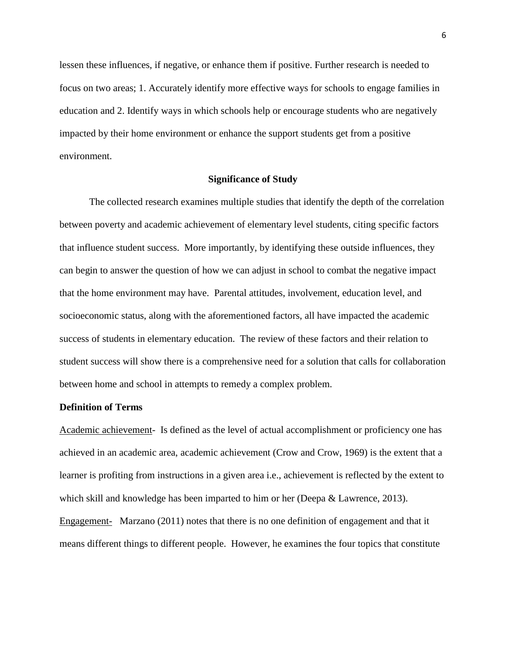lessen these influences, if negative, or enhance them if positive. Further research is needed to focus on two areas; 1. Accurately identify more effective ways for schools to engage families in education and 2. Identify ways in which schools help or encourage students who are negatively impacted by their home environment or enhance the support students get from a positive environment.

## **Significance of Study**

The collected research examines multiple studies that identify the depth of the correlation between poverty and academic achievement of elementary level students, citing specific factors that influence student success. More importantly, by identifying these outside influences, they can begin to answer the question of how we can adjust in school to combat the negative impact that the home environment may have. Parental attitudes, involvement, education level, and socioeconomic status, along with the aforementioned factors, all have impacted the academic success of students in elementary education. The review of these factors and their relation to student success will show there is a comprehensive need for a solution that calls for collaboration between home and school in attempts to remedy a complex problem.

## **Definition of Terms**

Academic achievement- Is defined as the level of actual accomplishment or proficiency one has achieved in an academic area, academic achievement (Crow and Crow, 1969) is the extent that a learner is profiting from instructions in a given area i.e., achievement is reflected by the extent to which skill and knowledge has been imparted to him or her (Deepa & Lawrence, 2013). Engagement- Marzano (2011) notes that there is no one definition of engagement and that it means different things to different people. However, he examines the four topics that constitute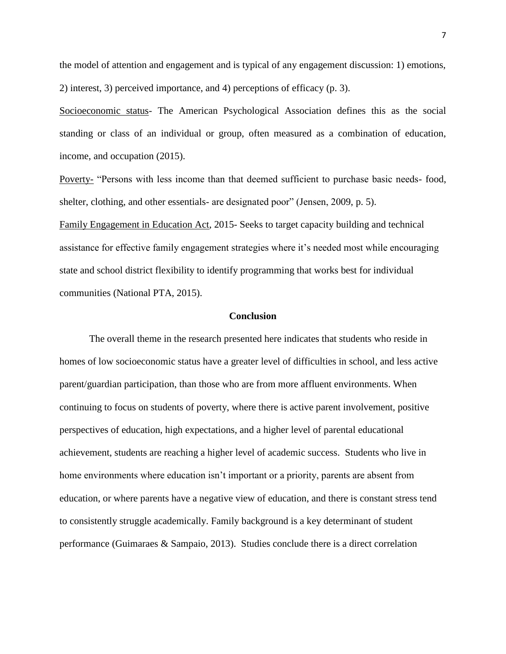the model of attention and engagement and is typical of any engagement discussion: 1) emotions, 2) interest, 3) perceived importance, and 4) perceptions of efficacy (p. 3).

Socioeconomic status- The American Psychological Association defines this as the social standing or class of an individual or group, often measured as a combination of education, income, and occupation (2015).

Poverty- "Persons with less income than that deemed sufficient to purchase basic needs- food, shelter, clothing, and other essentials- are designated poor" (Jensen, 2009, p. 5).

Family Engagement in Education Act, 2015- Seeks to target capacity building and technical assistance for effective family engagement strategies where it's needed most while encouraging state and school district flexibility to identify programming that works best for individual communities (National PTA, 2015).

#### **Conclusion**

The overall theme in the research presented here indicates that students who reside in homes of low socioeconomic status have a greater level of difficulties in school, and less active parent/guardian participation, than those who are from more affluent environments. When continuing to focus on students of poverty, where there is active parent involvement, positive perspectives of education, high expectations, and a higher level of parental educational achievement, students are reaching a higher level of academic success. Students who live in home environments where education isn't important or a priority, parents are absent from education, or where parents have a negative view of education, and there is constant stress tend to consistently struggle academically. Family background is a key determinant of student performance (Guimaraes & Sampaio, 2013). Studies conclude there is a direct correlation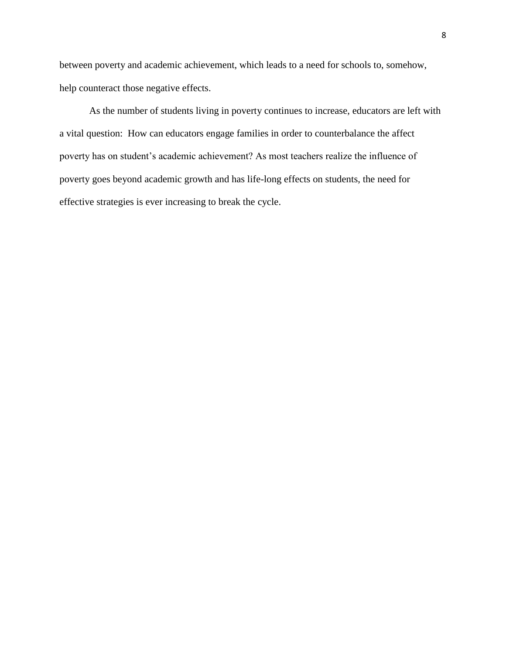between poverty and academic achievement, which leads to a need for schools to, somehow, help counteract those negative effects.

As the number of students living in poverty continues to increase, educators are left with a vital question: How can educators engage families in order to counterbalance the affect poverty has on student's academic achievement? As most teachers realize the influence of poverty goes beyond academic growth and has life-long effects on students, the need for effective strategies is ever increasing to break the cycle.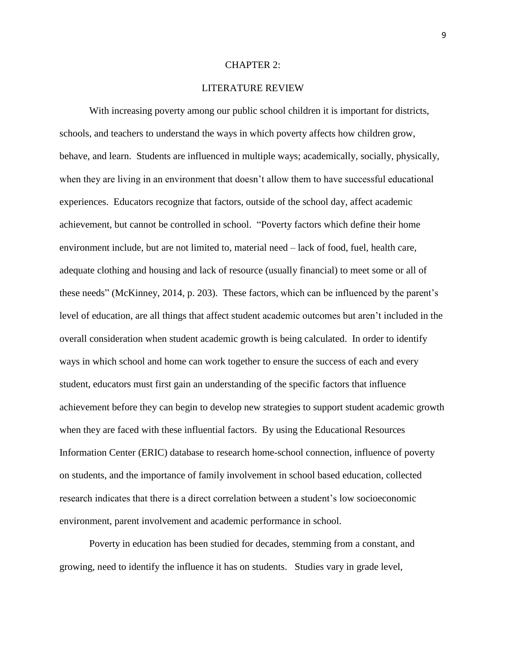## CHAPTER 2:

## LITERATURE REVIEW

With increasing poverty among our public school children it is important for districts, schools, and teachers to understand the ways in which poverty affects how children grow, behave, and learn. Students are influenced in multiple ways; academically, socially, physically, when they are living in an environment that doesn't allow them to have successful educational experiences. Educators recognize that factors, outside of the school day, affect academic achievement, but cannot be controlled in school. "Poverty factors which define their home environment include, but are not limited to, material need – lack of food, fuel, health care, adequate clothing and housing and lack of resource (usually financial) to meet some or all of these needs" (McKinney, 2014, p. 203). These factors, which can be influenced by the parent's level of education, are all things that affect student academic outcomes but aren't included in the overall consideration when student academic growth is being calculated. In order to identify ways in which school and home can work together to ensure the success of each and every student, educators must first gain an understanding of the specific factors that influence achievement before they can begin to develop new strategies to support student academic growth when they are faced with these influential factors. By using the Educational Resources Information Center (ERIC) database to research home-school connection, influence of poverty on students, and the importance of family involvement in school based education, collected research indicates that there is a direct correlation between a student's low socioeconomic environment, parent involvement and academic performance in school.

Poverty in education has been studied for decades, stemming from a constant, and growing, need to identify the influence it has on students. Studies vary in grade level,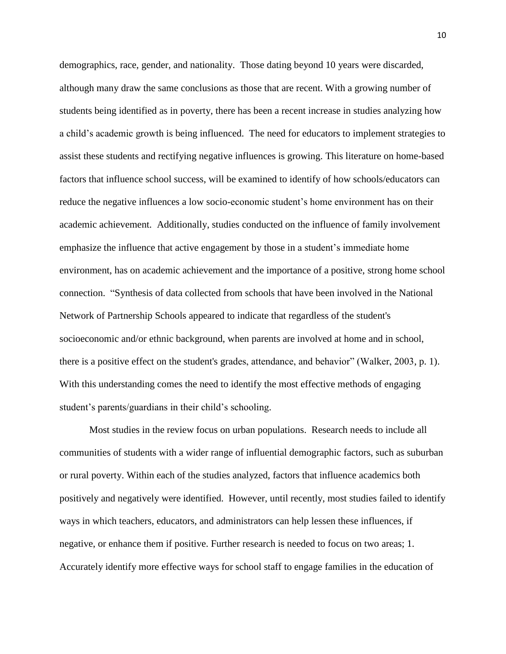demographics, race, gender, and nationality. Those dating beyond 10 years were discarded, although many draw the same conclusions as those that are recent. With a growing number of students being identified as in poverty, there has been a recent increase in studies analyzing how a child's academic growth is being influenced. The need for educators to implement strategies to assist these students and rectifying negative influences is growing. This literature on home-based factors that influence school success, will be examined to identify of how schools/educators can reduce the negative influences a low socio-economic student's home environment has on their academic achievement. Additionally, studies conducted on the influence of family involvement emphasize the influence that active engagement by those in a student's immediate home environment, has on academic achievement and the importance of a positive, strong home school connection. "Synthesis of data collected from schools that have been involved in the National Network of Partnership Schools appeared to indicate that regardless of the student's socioeconomic and/or ethnic background, when parents are involved at home and in school, there is a positive effect on the student's grades, attendance, and behavior" (Walker, 2003, p. 1). With this understanding comes the need to identify the most effective methods of engaging student's parents/guardians in their child's schooling.

Most studies in the review focus on urban populations. Research needs to include all communities of students with a wider range of influential demographic factors, such as suburban or rural poverty. Within each of the studies analyzed, factors that influence academics both positively and negatively were identified. However, until recently, most studies failed to identify ways in which teachers, educators, and administrators can help lessen these influences, if negative, or enhance them if positive. Further research is needed to focus on two areas; 1. Accurately identify more effective ways for school staff to engage families in the education of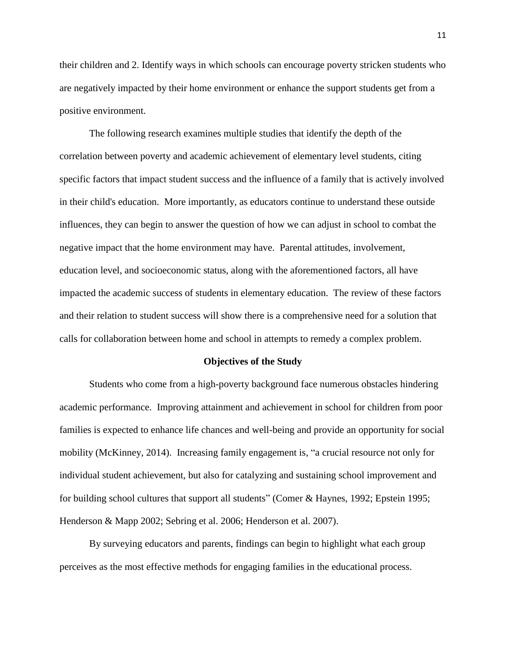their children and 2. Identify ways in which schools can encourage poverty stricken students who are negatively impacted by their home environment or enhance the support students get from a positive environment.

The following research examines multiple studies that identify the depth of the correlation between poverty and academic achievement of elementary level students, citing specific factors that impact student success and the influence of a family that is actively involved in their child's education. More importantly, as educators continue to understand these outside influences, they can begin to answer the question of how we can adjust in school to combat the negative impact that the home environment may have. Parental attitudes, involvement, education level, and socioeconomic status, along with the aforementioned factors, all have impacted the academic success of students in elementary education. The review of these factors and their relation to student success will show there is a comprehensive need for a solution that calls for collaboration between home and school in attempts to remedy a complex problem.

#### **Objectives of the Study**

Students who come from a high-poverty background face numerous obstacles hindering academic performance. Improving attainment and achievement in school for children from poor families is expected to enhance life chances and well-being and provide an opportunity for social mobility (McKinney, 2014). Increasing family engagement is, "a crucial resource not only for individual student achievement, but also for catalyzing and sustaining school improvement and for building school cultures that support all students" (Comer & Haynes, 1992; Epstein 1995; Henderson & Mapp 2002; Sebring et al. 2006; Henderson et al. 2007).

By surveying educators and parents, findings can begin to highlight what each group perceives as the most effective methods for engaging families in the educational process.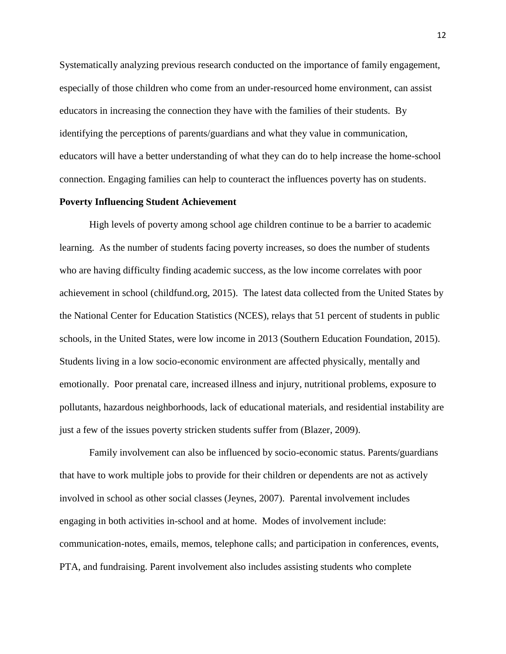Systematically analyzing previous research conducted on the importance of family engagement, especially of those children who come from an under-resourced home environment, can assist educators in increasing the connection they have with the families of their students. By identifying the perceptions of parents/guardians and what they value in communication, educators will have a better understanding of what they can do to help increase the home-school connection. Engaging families can help to counteract the influences poverty has on students.

## **Poverty Influencing Student Achievement**

High levels of poverty among school age children continue to be a barrier to academic learning. As the number of students facing poverty increases, so does the number of students who are having difficulty finding academic success, as the low income correlates with poor achievement in school (childfund.org, 2015). The latest data collected from the United States by the National Center for Education Statistics (NCES), relays that 51 percent of students in public schools, in the United States, were low income in 2013 (Southern Education Foundation, 2015). Students living in a low socio-economic environment are affected physically, mentally and emotionally. Poor prenatal care, increased illness and injury, nutritional problems, exposure to pollutants, hazardous neighborhoods, lack of educational materials, and residential instability are just a few of the issues poverty stricken students suffer from (Blazer, 2009).

Family involvement can also be influenced by socio-economic status. Parents/guardians that have to work multiple jobs to provide for their children or dependents are not as actively involved in school as other social classes (Jeynes, 2007). Parental involvement includes engaging in both activities in-school and at home. Modes of involvement include: communication-notes, emails, memos, telephone calls; and participation in conferences, events, PTA, and fundraising. Parent involvement also includes assisting students who complete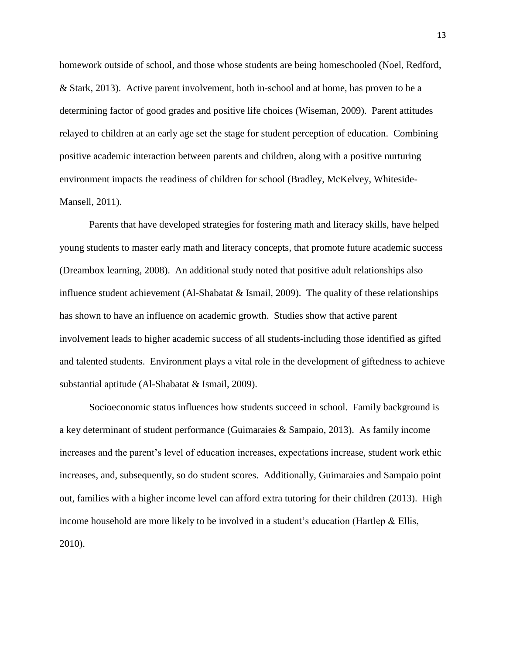homework outside of school, and those whose students are being homeschooled (Noel, Redford, & Stark, 2013). Active parent involvement, both in-school and at home, has proven to be a determining factor of good grades and positive life choices (Wiseman, 2009). Parent attitudes relayed to children at an early age set the stage for student perception of education. Combining positive academic interaction between parents and children, along with a positive nurturing environment impacts the readiness of children for school (Bradley, McKelvey, Whiteside-Mansell, 2011).

Parents that have developed strategies for fostering math and literacy skills, have helped young students to master early math and literacy concepts, that promote future academic success (Dreambox learning, 2008). An additional study noted that positive adult relationships also influence student achievement (Al-Shabatat & Ismail, 2009). The quality of these relationships has shown to have an influence on academic growth. Studies show that active parent involvement leads to higher academic success of all students-including those identified as gifted and talented students. Environment plays a vital role in the development of giftedness to achieve substantial aptitude (Al-Shabatat & Ismail, 2009).

Socioeconomic status influences how students succeed in school. Family background is a key determinant of student performance (Guimaraies & Sampaio, 2013). As family income increases and the parent's level of education increases, expectations increase, student work ethic increases, and, subsequently, so do student scores. Additionally, Guimaraies and Sampaio point out, families with a higher income level can afford extra tutoring for their children (2013). High income household are more likely to be involved in a student's education (Hartlep  $\&$  Ellis, 2010).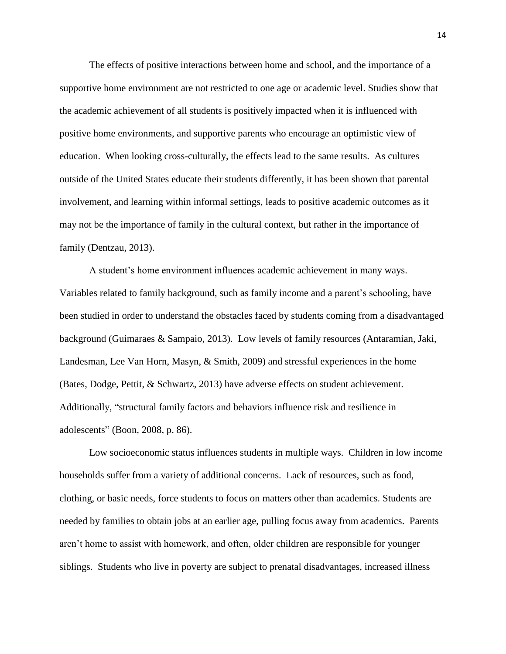The effects of positive interactions between home and school, and the importance of a supportive home environment are not restricted to one age or academic level. Studies show that the academic achievement of all students is positively impacted when it is influenced with positive home environments, and supportive parents who encourage an optimistic view of education. When looking cross-culturally, the effects lead to the same results. As cultures outside of the United States educate their students differently, it has been shown that parental involvement, and learning within informal settings, leads to positive academic outcomes as it may not be the importance of family in the cultural context, but rather in the importance of family (Dentzau, 2013).

A student's home environment influences academic achievement in many ways. Variables related to family background, such as family income and a parent's schooling, have been studied in order to understand the obstacles faced by students coming from a disadvantaged background (Guimaraes & Sampaio, 2013). Low levels of family resources (Antaramian, Jaki, Landesman, Lee Van Horn, Masyn, & Smith, 2009) and stressful experiences in the home (Bates, Dodge, Pettit, & Schwartz, 2013) have adverse effects on student achievement. Additionally, "structural family factors and behaviors influence risk and resilience in adolescents" (Boon, 2008, p. 86).

Low socioeconomic status influences students in multiple ways. Children in low income households suffer from a variety of additional concerns. Lack of resources, such as food, clothing, or basic needs, force students to focus on matters other than academics. Students are needed by families to obtain jobs at an earlier age, pulling focus away from academics. Parents aren't home to assist with homework, and often, older children are responsible for younger siblings. Students who live in poverty are subject to prenatal disadvantages, increased illness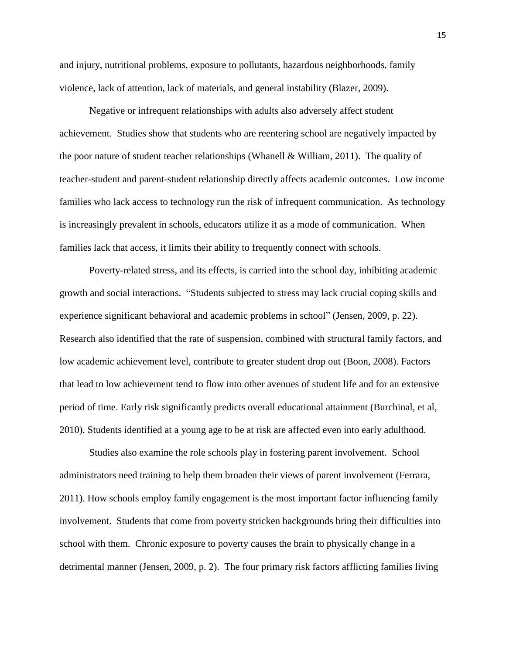and injury, nutritional problems, exposure to pollutants, hazardous neighborhoods, family violence, lack of attention, lack of materials, and general instability (Blazer, 2009).

Negative or infrequent relationships with adults also adversely affect student achievement. Studies show that students who are reentering school are negatively impacted by the poor nature of student teacher relationships (Whanell & William, 2011). The quality of teacher-student and parent-student relationship directly affects academic outcomes. Low income families who lack access to technology run the risk of infrequent communication. As technology is increasingly prevalent in schools, educators utilize it as a mode of communication. When families lack that access, it limits their ability to frequently connect with schools.

Poverty-related stress, and its effects, is carried into the school day, inhibiting academic growth and social interactions. "Students subjected to stress may lack crucial coping skills and experience significant behavioral and academic problems in school" (Jensen, 2009, p. 22). Research also identified that the rate of suspension, combined with structural family factors, and low academic achievement level, contribute to greater student drop out (Boon, 2008). Factors that lead to low achievement tend to flow into other avenues of student life and for an extensive period of time. Early risk significantly predicts overall educational attainment (Burchinal, et al, 2010). Students identified at a young age to be at risk are affected even into early adulthood.

Studies also examine the role schools play in fostering parent involvement. School administrators need training to help them broaden their views of parent involvement (Ferrara, 2011). How schools employ family engagement is the most important factor influencing family involvement. Students that come from poverty stricken backgrounds bring their difficulties into school with them. Chronic exposure to poverty causes the brain to physically change in a detrimental manner (Jensen, 2009, p. 2). The four primary risk factors afflicting families living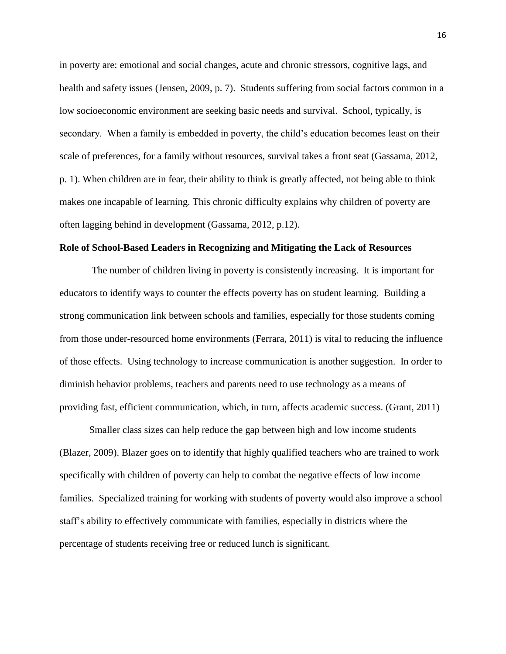in poverty are: emotional and social changes, acute and chronic stressors, cognitive lags, and health and safety issues (Jensen, 2009, p. 7). Students suffering from social factors common in a low socioeconomic environment are seeking basic needs and survival. School, typically, is secondary. When a family is embedded in poverty, the child's education becomes least on their scale of preferences, for a family without resources, survival takes a front seat (Gassama, 2012, p. 1). When children are in fear, their ability to think is greatly affected, not being able to think makes one incapable of learning. This chronic difficulty explains why children of poverty are often lagging behind in development (Gassama, 2012, p.12).

## **Role of School-Based Leaders in Recognizing and Mitigating the Lack of Resources**

The number of children living in poverty is consistently increasing. It is important for educators to identify ways to counter the effects poverty has on student learning. Building a strong communication link between schools and families, especially for those students coming from those under-resourced home environments (Ferrara, 2011) is vital to reducing the influence of those effects. Using technology to increase communication is another suggestion. In order to diminish behavior problems, teachers and parents need to use technology as a means of providing fast, efficient communication, which, in turn, affects academic success. (Grant, 2011)

Smaller class sizes can help reduce the gap between high and low income students (Blazer, 2009). Blazer goes on to identify that highly qualified teachers who are trained to work specifically with children of poverty can help to combat the negative effects of low income families. Specialized training for working with students of poverty would also improve a school staff's ability to effectively communicate with families, especially in districts where the percentage of students receiving free or reduced lunch is significant.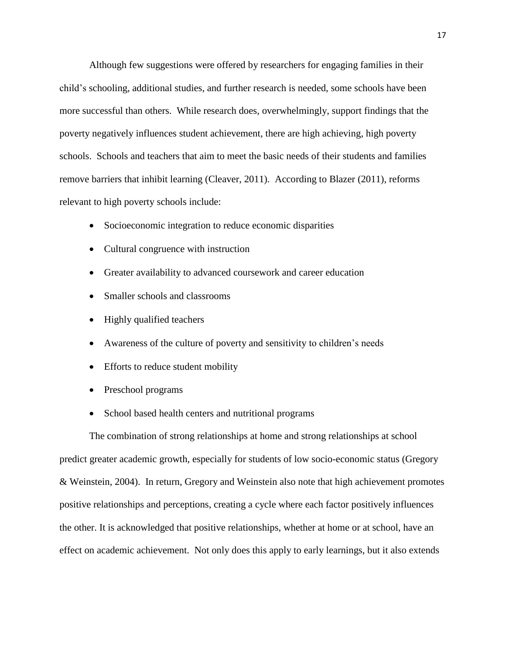Although few suggestions were offered by researchers for engaging families in their child's schooling, additional studies, and further research is needed, some schools have been more successful than others. While research does, overwhelmingly, support findings that the poverty negatively influences student achievement, there are high achieving, high poverty schools. Schools and teachers that aim to meet the basic needs of their students and families remove barriers that inhibit learning (Cleaver, 2011). According to Blazer (2011), reforms relevant to high poverty schools include:

- Socioeconomic integration to reduce economic disparities
- Cultural congruence with instruction
- Greater availability to advanced coursework and career education
- Smaller schools and classrooms
- Highly qualified teachers
- Awareness of the culture of poverty and sensitivity to children's needs
- Efforts to reduce student mobility
- Preschool programs
- School based health centers and nutritional programs

The combination of strong relationships at home and strong relationships at school predict greater academic growth, especially for students of low socio-economic status (Gregory & Weinstein, 2004). In return, Gregory and Weinstein also note that high achievement promotes positive relationships and perceptions, creating a cycle where each factor positively influences the other. It is acknowledged that positive relationships, whether at home or at school, have an effect on academic achievement. Not only does this apply to early learnings, but it also extends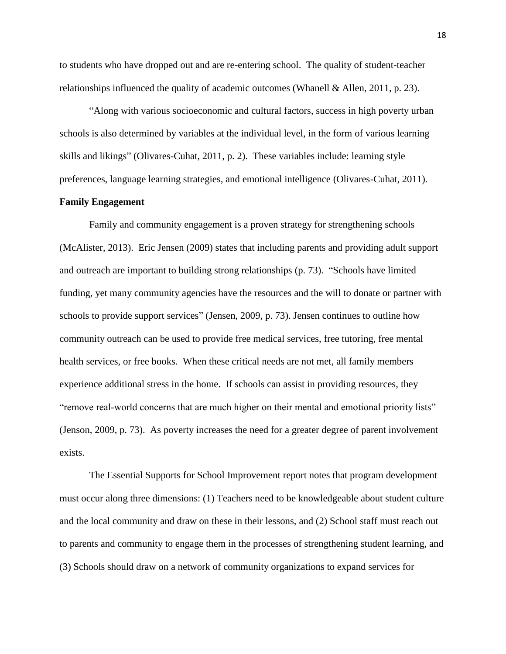to students who have dropped out and are re-entering school. The quality of student-teacher relationships influenced the quality of academic outcomes (Whanell & Allen, 2011, p. 23).

"Along with various socioeconomic and cultural factors, success in high poverty urban schools is also determined by variables at the individual level, in the form of various learning skills and likings" (Olivares-Cuhat, 2011, p. 2). These variables include: learning style preferences, language learning strategies, and emotional intelligence (Olivares-Cuhat, 2011).

## **Family Engagement**

Family and community engagement is a proven strategy for strengthening schools (McAlister, 2013). Eric Jensen (2009) states that including parents and providing adult support and outreach are important to building strong relationships (p. 73). "Schools have limited funding, yet many community agencies have the resources and the will to donate or partner with schools to provide support services" (Jensen, 2009, p. 73). Jensen continues to outline how community outreach can be used to provide free medical services, free tutoring, free mental health services, or free books. When these critical needs are not met, all family members experience additional stress in the home. If schools can assist in providing resources, they "remove real-world concerns that are much higher on their mental and emotional priority lists" (Jenson, 2009, p. 73). As poverty increases the need for a greater degree of parent involvement exists.

The Essential Supports for School Improvement report notes that program development must occur along three dimensions: (1) Teachers need to be knowledgeable about student culture and the local community and draw on these in their lessons, and (2) School staff must reach out to parents and community to engage them in the processes of strengthening student learning, and (3) Schools should draw on a network of community organizations to expand services for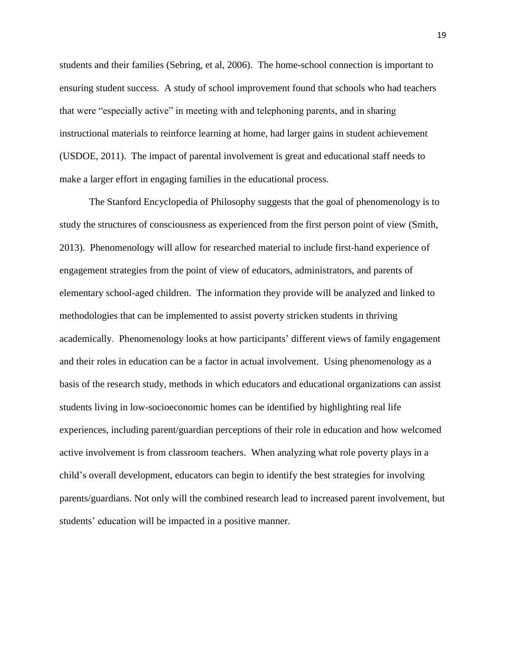students and their families (Sebring, et al, 2006). The home-school connection is important to ensuring student success. A study of school improvement found that schools who had teachers that were "especially active" in meeting with and telephoning parents, and in sharing instructional materials to reinforce learning at home, had larger gains in student achievement (USDOE, 2011). The impact of parental involvement is great and educational staff needs to make a larger effort in engaging families in the educational process.

The Stanford Encyclopedia of Philosophy suggests that the goal of phenomenology is to study the structures of consciousness as experienced from the first person point of view (Smith, 2013). Phenomenology will allow for researched material to include first-hand experience of engagement strategies from the point of view of educators, administrators, and parents of elementary school-aged children. The information they provide will be analyzed and linked to methodologies that can be implemented to assist poverty stricken students in thriving academically. Phenomenology looks at how participants' different views of family engagement and their roles in education can be a factor in actual involvement. Using phenomenology as a basis of the research study, methods in which educators and educational organizations can assist students living in low-socioeconomic homes can be identified by highlighting real life experiences, including parent/guardian perceptions of their role in education and how welcomed active involvement is from classroom teachers. When analyzing what role poverty plays in a child's overall development, educators can begin to identify the best strategies for involving parents/guardians. Not only will the combined research lead to increased parent involvement, but students' education will be impacted in a positive manner.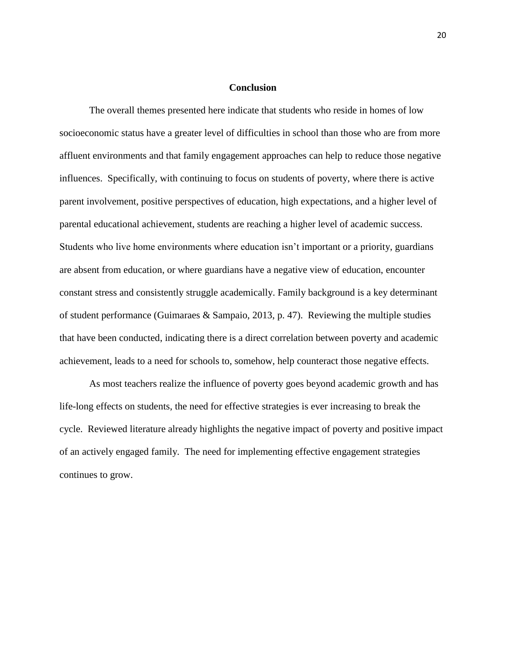## **Conclusion**

The overall themes presented here indicate that students who reside in homes of low socioeconomic status have a greater level of difficulties in school than those who are from more affluent environments and that family engagement approaches can help to reduce those negative influences. Specifically, with continuing to focus on students of poverty, where there is active parent involvement, positive perspectives of education, high expectations, and a higher level of parental educational achievement, students are reaching a higher level of academic success. Students who live home environments where education isn't important or a priority, guardians are absent from education, or where guardians have a negative view of education, encounter constant stress and consistently struggle academically. Family background is a key determinant of student performance (Guimaraes & Sampaio, 2013, p. 47). Reviewing the multiple studies that have been conducted, indicating there is a direct correlation between poverty and academic achievement, leads to a need for schools to, somehow, help counteract those negative effects.

As most teachers realize the influence of poverty goes beyond academic growth and has life-long effects on students, the need for effective strategies is ever increasing to break the cycle. Reviewed literature already highlights the negative impact of poverty and positive impact of an actively engaged family. The need for implementing effective engagement strategies continues to grow.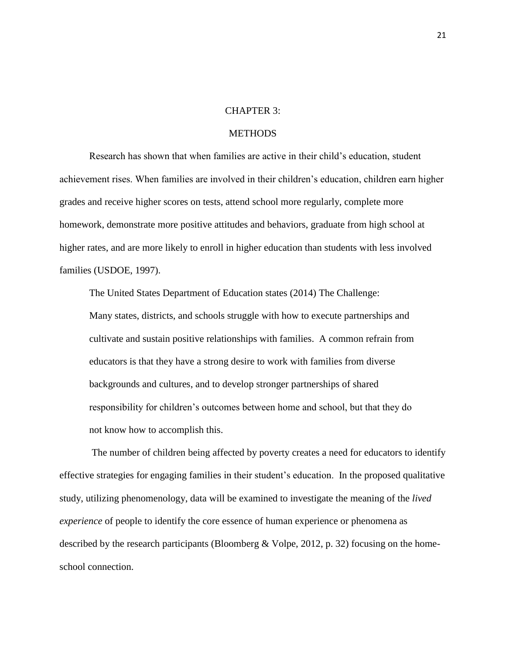## CHAPTER 3:

## **METHODS**

Research has shown that when families are active in their child's education, student achievement rises. When families are involved in their children's education, children earn higher grades and receive higher scores on tests, attend school more regularly, complete more homework, demonstrate more positive attitudes and behaviors, graduate from high school at higher rates, and are more likely to enroll in higher education than students with less involved families (USDOE, 1997).

The United States Department of Education states (2014) The Challenge: Many states, districts, and schools struggle with how to execute partnerships and cultivate and sustain positive relationships with families. A common refrain from educators is that they have a strong desire to work with families from diverse backgrounds and cultures, and to develop stronger partnerships of shared responsibility for children's outcomes between home and school, but that they do not know how to accomplish this.

The number of children being affected by poverty creates a need for educators to identify effective strategies for engaging families in their student's education. In the proposed qualitative study, utilizing phenomenology, data will be examined to investigate the meaning of the *lived experience* of people to identify the core essence of human experience or phenomena as described by the research participants (Bloomberg & Volpe, 2012, p. 32) focusing on the homeschool connection.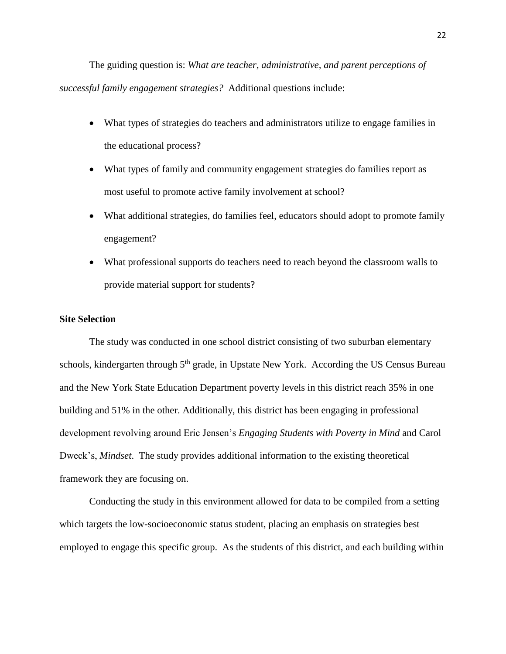The guiding question is: *What are teacher, administrative, and parent perceptions of successful family engagement strategies?* Additional questions include:

- What types of strategies do teachers and administrators utilize to engage families in the educational process?
- What types of family and community engagement strategies do families report as most useful to promote active family involvement at school?
- What additional strategies, do families feel, educators should adopt to promote family engagement?
- What professional supports do teachers need to reach beyond the classroom walls to provide material support for students?

## **Site Selection**

The study was conducted in one school district consisting of two suburban elementary schools, kindergarten through 5<sup>th</sup> grade, in Upstate New York. According the US Census Bureau and the New York State Education Department poverty levels in this district reach 35% in one building and 51% in the other. Additionally, this district has been engaging in professional development revolving around Eric Jensen's *Engaging Students with Poverty in Mind* and Carol Dweck's, *Mindset*. The study provides additional information to the existing theoretical framework they are focusing on.

Conducting the study in this environment allowed for data to be compiled from a setting which targets the low-socioeconomic status student, placing an emphasis on strategies best employed to engage this specific group. As the students of this district, and each building within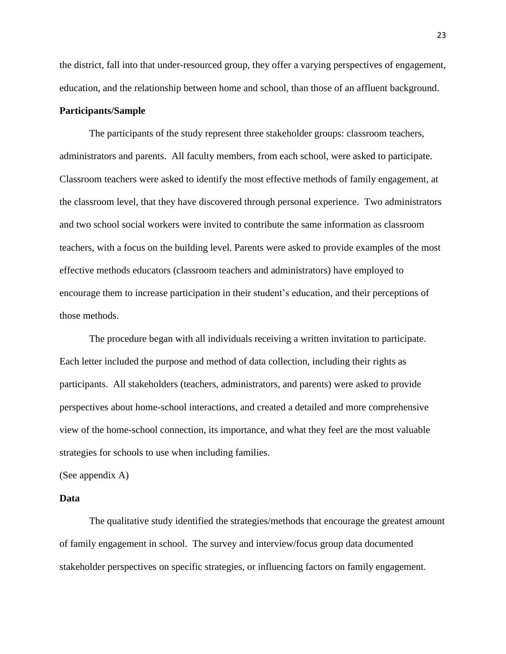the district, fall into that under-resourced group, they offer a varying perspectives of engagement, education, and the relationship between home and school, than those of an affluent background.

## **Participants/Sample**

The participants of the study represent three stakeholder groups: classroom teachers, administrators and parents. All faculty members, from each school, were asked to participate. Classroom teachers were asked to identify the most effective methods of family engagement, at the classroom level, that they have discovered through personal experience. Two administrators and two school social workers were invited to contribute the same information as classroom teachers, with a focus on the building level. Parents were asked to provide examples of the most effective methods educators (classroom teachers and administrators) have employed to encourage them to increase participation in their student's education, and their perceptions of those methods.

The procedure began with all individuals receiving a written invitation to participate. Each letter included the purpose and method of data collection, including their rights as participants. All stakeholders (teachers, administrators, and parents) were asked to provide perspectives about home-school interactions, and created a detailed and more comprehensive view of the home-school connection, its importance, and what they feel are the most valuable strategies for schools to use when including families.

(See appendix A)

## **Data**

The qualitative study identified the strategies/methods that encourage the greatest amount of family engagement in school. The survey and interview/focus group data documented stakeholder perspectives on specific strategies, or influencing factors on family engagement.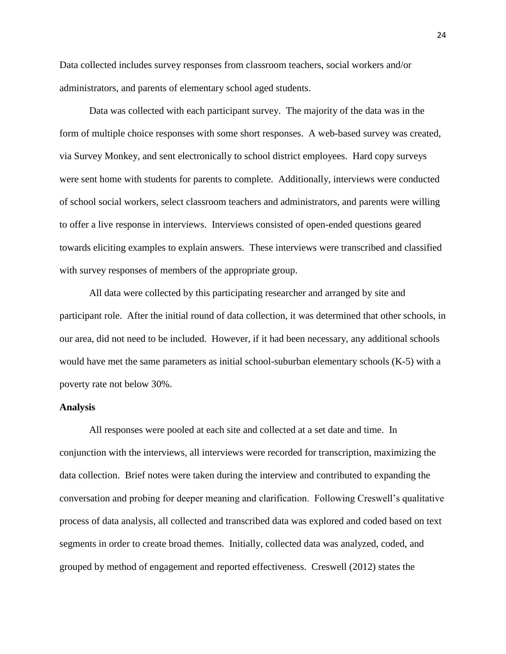Data collected includes survey responses from classroom teachers, social workers and/or administrators, and parents of elementary school aged students.

Data was collected with each participant survey. The majority of the data was in the form of multiple choice responses with some short responses. A web-based survey was created, via Survey Monkey, and sent electronically to school district employees. Hard copy surveys were sent home with students for parents to complete. Additionally, interviews were conducted of school social workers, select classroom teachers and administrators, and parents were willing to offer a live response in interviews. Interviews consisted of open-ended questions geared towards eliciting examples to explain answers. These interviews were transcribed and classified with survey responses of members of the appropriate group.

All data were collected by this participating researcher and arranged by site and participant role. After the initial round of data collection, it was determined that other schools, in our area, did not need to be included. However, if it had been necessary, any additional schools would have met the same parameters as initial school-suburban elementary schools (K-5) with a poverty rate not below 30%.

#### **Analysis**

All responses were pooled at each site and collected at a set date and time. In conjunction with the interviews, all interviews were recorded for transcription, maximizing the data collection. Brief notes were taken during the interview and contributed to expanding the conversation and probing for deeper meaning and clarification. Following Creswell's qualitative process of data analysis, all collected and transcribed data was explored and coded based on text segments in order to create broad themes. Initially, collected data was analyzed, coded, and grouped by method of engagement and reported effectiveness. Creswell (2012) states the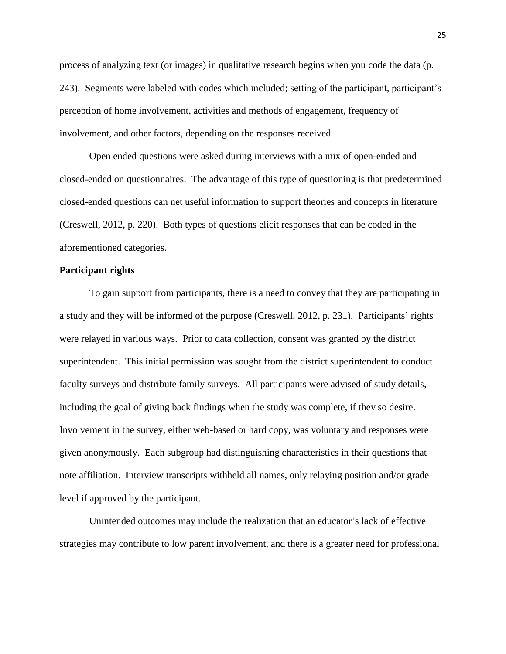process of analyzing text (or images) in qualitative research begins when you code the data (p. 243). Segments were labeled with codes which included; setting of the participant, participant's perception of home involvement, activities and methods of engagement, frequency of involvement, and other factors, depending on the responses received.

Open ended questions were asked during interviews with a mix of open-ended and closed-ended on questionnaires. The advantage of this type of questioning is that predetermined closed-ended questions can net useful information to support theories and concepts in literature (Creswell, 2012, p. 220). Both types of questions elicit responses that can be coded in the aforementioned categories.

## **Participant rights**

To gain support from participants, there is a need to convey that they are participating in a study and they will be informed of the purpose (Creswell, 2012, p. 231). Participants' rights were relayed in various ways. Prior to data collection, consent was granted by the district superintendent. This initial permission was sought from the district superintendent to conduct faculty surveys and distribute family surveys. All participants were advised of study details, including the goal of giving back findings when the study was complete, if they so desire. Involvement in the survey, either web-based or hard copy, was voluntary and responses were given anonymously. Each subgroup had distinguishing characteristics in their questions that note affiliation. Interview transcripts withheld all names, only relaying position and/or grade level if approved by the participant.

Unintended outcomes may include the realization that an educator's lack of effective strategies may contribute to low parent involvement, and there is a greater need for professional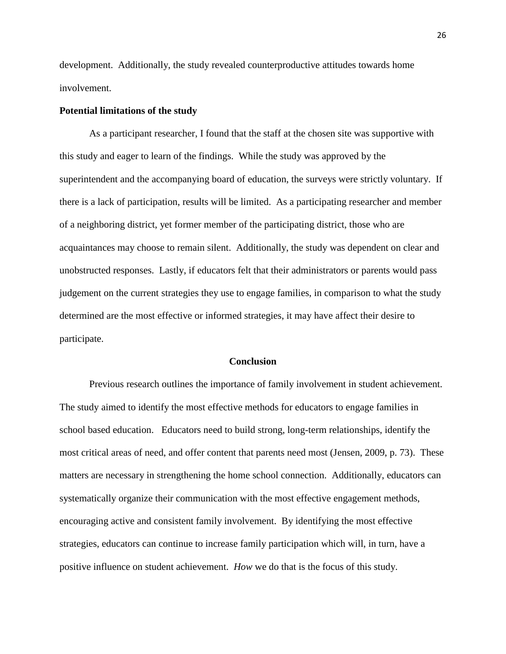development. Additionally, the study revealed counterproductive attitudes towards home involvement.

### **Potential limitations of the study**

As a participant researcher, I found that the staff at the chosen site was supportive with this study and eager to learn of the findings. While the study was approved by the superintendent and the accompanying board of education, the surveys were strictly voluntary. If there is a lack of participation, results will be limited. As a participating researcher and member of a neighboring district, yet former member of the participating district, those who are acquaintances may choose to remain silent. Additionally, the study was dependent on clear and unobstructed responses. Lastly, if educators felt that their administrators or parents would pass judgement on the current strategies they use to engage families, in comparison to what the study determined are the most effective or informed strategies, it may have affect their desire to participate.

#### **Conclusion**

Previous research outlines the importance of family involvement in student achievement. The study aimed to identify the most effective methods for educators to engage families in school based education. Educators need to build strong, long-term relationships, identify the most critical areas of need, and offer content that parents need most (Jensen, 2009, p. 73). These matters are necessary in strengthening the home school connection. Additionally, educators can systematically organize their communication with the most effective engagement methods, encouraging active and consistent family involvement. By identifying the most effective strategies, educators can continue to increase family participation which will, in turn, have a positive influence on student achievement. *How* we do that is the focus of this study.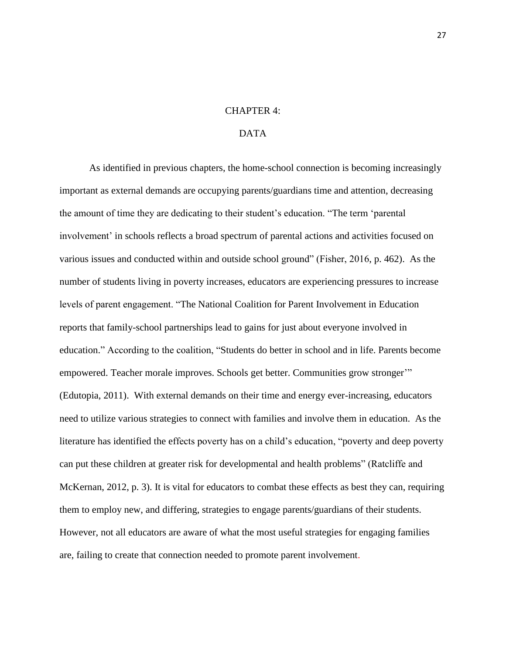## CHAPTER 4:

## DATA

As identified in previous chapters, the home-school connection is becoming increasingly important as external demands are occupying parents/guardians time and attention, decreasing the amount of time they are dedicating to their student's education. "The term 'parental involvement' in schools reflects a broad spectrum of parental actions and activities focused on various issues and conducted within and outside school ground" (Fisher, 2016, p. 462). As the number of students living in poverty increases, educators are experiencing pressures to increase levels of parent engagement. "The National Coalition for Parent Involvement in Education reports that family-school partnerships lead to gains for just about everyone involved in education." According to the coalition, "Students do better in school and in life. Parents become empowered. Teacher morale improves. Schools get better. Communities grow stronger'" (Edutopia, 2011). With external demands on their time and energy ever-increasing, educators need to utilize various strategies to connect with families and involve them in education. As the literature has identified the effects poverty has on a child's education, "poverty and deep poverty can put these children at greater risk for developmental and health problems" (Ratcliffe and McKernan, 2012, p. 3). It is vital for educators to combat these effects as best they can, requiring them to employ new, and differing, strategies to engage parents/guardians of their students. However, not all educators are aware of what the most useful strategies for engaging families are, failing to create that connection needed to promote parent involvement.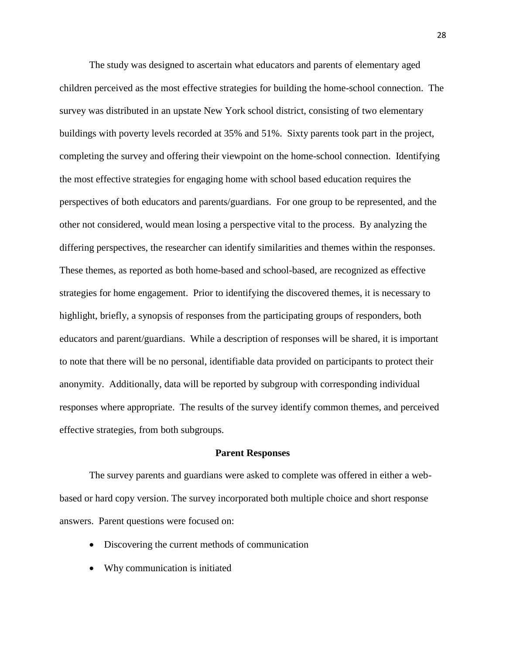The study was designed to ascertain what educators and parents of elementary aged children perceived as the most effective strategies for building the home-school connection. The survey was distributed in an upstate New York school district, consisting of two elementary buildings with poverty levels recorded at 35% and 51%. Sixty parents took part in the project, completing the survey and offering their viewpoint on the home-school connection. Identifying the most effective strategies for engaging home with school based education requires the perspectives of both educators and parents/guardians. For one group to be represented, and the other not considered, would mean losing a perspective vital to the process. By analyzing the differing perspectives, the researcher can identify similarities and themes within the responses. These themes, as reported as both home-based and school-based, are recognized as effective strategies for home engagement. Prior to identifying the discovered themes, it is necessary to highlight, briefly, a synopsis of responses from the participating groups of responders, both educators and parent/guardians. While a description of responses will be shared, it is important to note that there will be no personal, identifiable data provided on participants to protect their anonymity. Additionally, data will be reported by subgroup with corresponding individual responses where appropriate. The results of the survey identify common themes, and perceived effective strategies, from both subgroups.

#### **Parent Responses**

The survey parents and guardians were asked to complete was offered in either a webbased or hard copy version. The survey incorporated both multiple choice and short response answers. Parent questions were focused on:

- Discovering the current methods of communication
- Why communication is initiated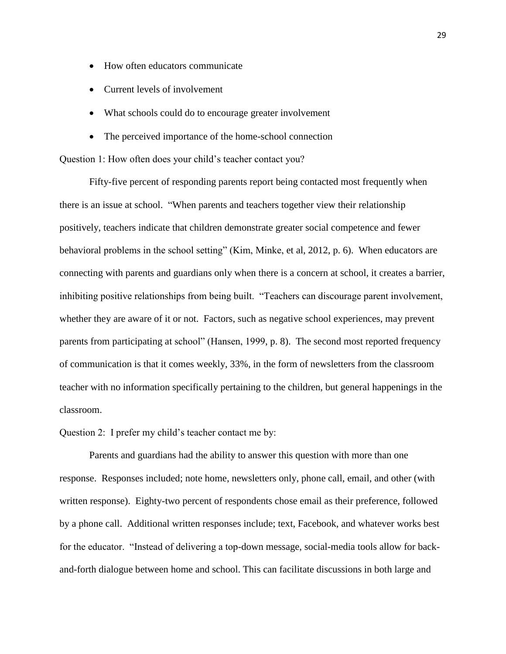- How often educators communicate
- Current levels of involvement
- What schools could do to encourage greater involvement
- The perceived importance of the home-school connection

Question 1: How often does your child's teacher contact you?

Fifty-five percent of responding parents report being contacted most frequently when there is an issue at school. "When parents and teachers together view their relationship positively, teachers indicate that children demonstrate greater social competence and fewer behavioral problems in the school setting" (Kim, Minke, et al, 2012, p. 6). When educators are connecting with parents and guardians only when there is a concern at school, it creates a barrier, inhibiting positive relationships from being built. "Teachers can discourage parent involvement, whether they are aware of it or not. Factors, such as negative school experiences, may prevent parents from participating at school" (Hansen, 1999, p. 8). The second most reported frequency of communication is that it comes weekly, 33%, in the form of newsletters from the classroom teacher with no information specifically pertaining to the children, but general happenings in the classroom.

Question 2: I prefer my child's teacher contact me by:

Parents and guardians had the ability to answer this question with more than one response. Responses included; note home, newsletters only, phone call, email, and other (with written response). Eighty-two percent of respondents chose email as their preference, followed by a phone call. Additional written responses include; text, Facebook, and whatever works best for the educator. "Instead of delivering a top-down message, social-media tools allow for backand-forth dialogue between home and school. This can facilitate discussions in both large and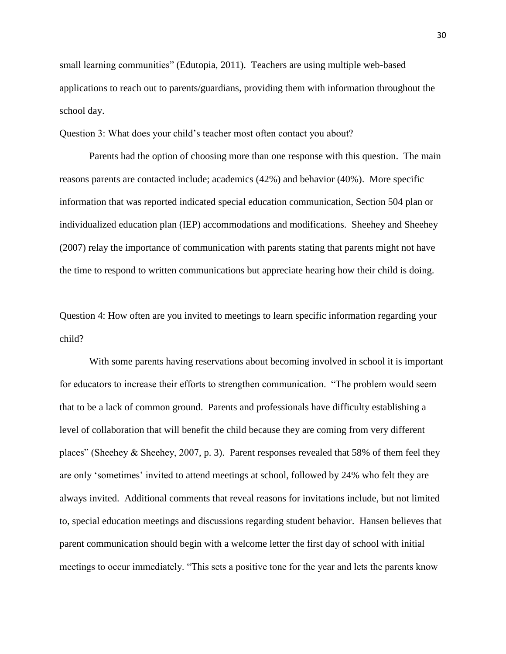small learning communities" (Edutopia, 2011). Teachers are using multiple web-based applications to reach out to parents/guardians, providing them with information throughout the school day.

Question 3: What does your child's teacher most often contact you about?

Parents had the option of choosing more than one response with this question. The main reasons parents are contacted include; academics (42%) and behavior (40%). More specific information that was reported indicated special education communication, Section 504 plan or individualized education plan (IEP) accommodations and modifications. Sheehey and Sheehey (2007) relay the importance of communication with parents stating that parents might not have the time to respond to written communications but appreciate hearing how their child is doing.

Question 4: How often are you invited to meetings to learn specific information regarding your child?

With some parents having reservations about becoming involved in school it is important for educators to increase their efforts to strengthen communication. "The problem would seem that to be a lack of common ground. Parents and professionals have difficulty establishing a level of collaboration that will benefit the child because they are coming from very different places" (Sheehey & Sheehey, 2007, p. 3). Parent responses revealed that 58% of them feel they are only 'sometimes' invited to attend meetings at school, followed by 24% who felt they are always invited. Additional comments that reveal reasons for invitations include, but not limited to, special education meetings and discussions regarding student behavior. Hansen believes that parent communication should begin with a welcome letter the first day of school with initial meetings to occur immediately. "This sets a positive tone for the year and lets the parents know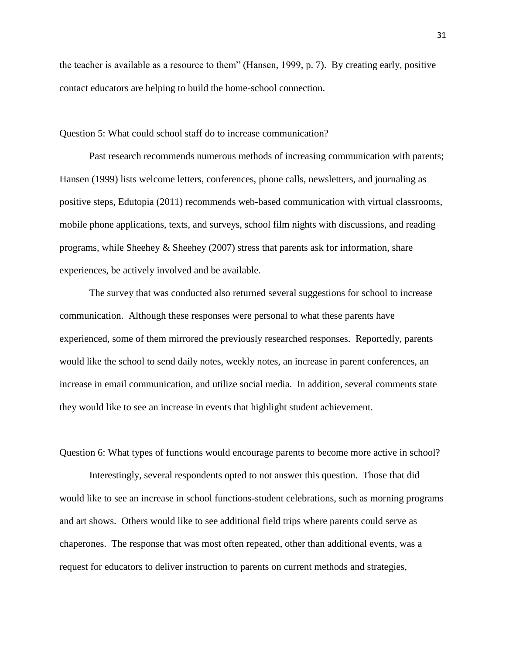the teacher is available as a resource to them" (Hansen, 1999, p. 7). By creating early, positive contact educators are helping to build the home-school connection.

Question 5: What could school staff do to increase communication?

Past research recommends numerous methods of increasing communication with parents; Hansen (1999) lists welcome letters, conferences, phone calls, newsletters, and journaling as positive steps, Edutopia (2011) recommends web-based communication with virtual classrooms, mobile phone applications, texts, and surveys, school film nights with discussions, and reading programs, while Sheehey  $\&$  Sheehey (2007) stress that parents ask for information, share experiences, be actively involved and be available.

The survey that was conducted also returned several suggestions for school to increase communication. Although these responses were personal to what these parents have experienced, some of them mirrored the previously researched responses. Reportedly, parents would like the school to send daily notes, weekly notes, an increase in parent conferences, an increase in email communication, and utilize social media. In addition, several comments state they would like to see an increase in events that highlight student achievement.

Question 6: What types of functions would encourage parents to become more active in school?

Interestingly, several respondents opted to not answer this question. Those that did would like to see an increase in school functions-student celebrations, such as morning programs and art shows. Others would like to see additional field trips where parents could serve as chaperones. The response that was most often repeated, other than additional events, was a request for educators to deliver instruction to parents on current methods and strategies,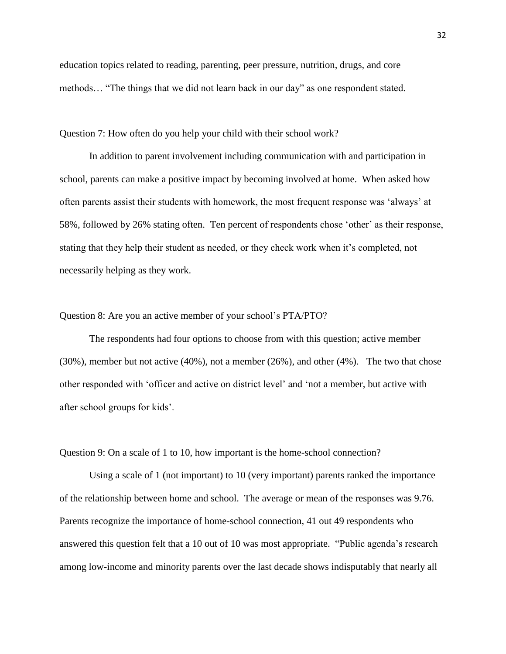education topics related to reading, parenting, peer pressure, nutrition, drugs, and core methods… "The things that we did not learn back in our day" as one respondent stated.

Question 7: How often do you help your child with their school work?

In addition to parent involvement including communication with and participation in school, parents can make a positive impact by becoming involved at home. When asked how often parents assist their students with homework, the most frequent response was 'always' at 58%, followed by 26% stating often. Ten percent of respondents chose 'other' as their response, stating that they help their student as needed, or they check work when it's completed, not necessarily helping as they work.

#### Question 8: Are you an active member of your school's PTA/PTO?

The respondents had four options to choose from with this question; active member (30%), member but not active (40%), not a member (26%), and other (4%). The two that chose other responded with 'officer and active on district level' and 'not a member, but active with after school groups for kids'.

Question 9: On a scale of 1 to 10, how important is the home-school connection?

Using a scale of 1 (not important) to 10 (very important) parents ranked the importance of the relationship between home and school. The average or mean of the responses was 9.76. Parents recognize the importance of home-school connection, 41 out 49 respondents who answered this question felt that a 10 out of 10 was most appropriate. "Public agenda's research among low-income and minority parents over the last decade shows indisputably that nearly all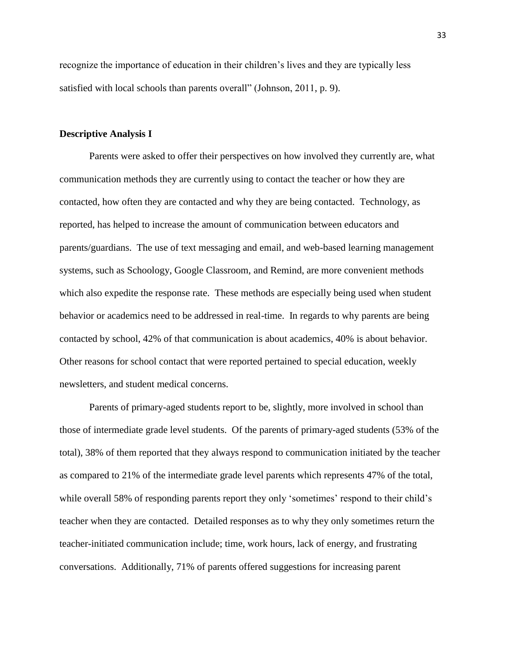recognize the importance of education in their children's lives and they are typically less satisfied with local schools than parents overall" (Johnson, 2011, p. 9).

## **Descriptive Analysis I**

Parents were asked to offer their perspectives on how involved they currently are, what communication methods they are currently using to contact the teacher or how they are contacted, how often they are contacted and why they are being contacted. Technology, as reported, has helped to increase the amount of communication between educators and parents/guardians. The use of text messaging and email, and web-based learning management systems, such as Schoology, Google Classroom, and Remind, are more convenient methods which also expedite the response rate. These methods are especially being used when student behavior or academics need to be addressed in real-time. In regards to why parents are being contacted by school, 42% of that communication is about academics, 40% is about behavior. Other reasons for school contact that were reported pertained to special education, weekly newsletters, and student medical concerns.

Parents of primary-aged students report to be, slightly, more involved in school than those of intermediate grade level students. Of the parents of primary-aged students (53% of the total), 38% of them reported that they always respond to communication initiated by the teacher as compared to 21% of the intermediate grade level parents which represents 47% of the total, while overall 58% of responding parents report they only 'sometimes' respond to their child's teacher when they are contacted. Detailed responses as to why they only sometimes return the teacher-initiated communication include; time, work hours, lack of energy, and frustrating conversations. Additionally, 71% of parents offered suggestions for increasing parent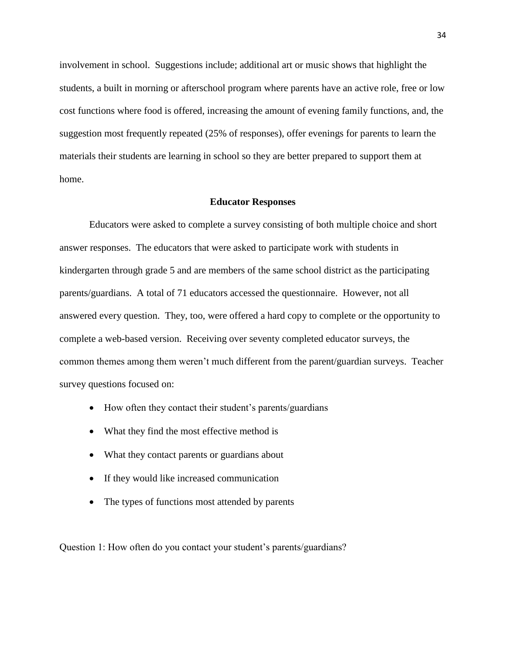involvement in school. Suggestions include; additional art or music shows that highlight the students, a built in morning or afterschool program where parents have an active role, free or low cost functions where food is offered, increasing the amount of evening family functions, and, the suggestion most frequently repeated (25% of responses), offer evenings for parents to learn the materials their students are learning in school so they are better prepared to support them at home.

#### **Educator Responses**

Educators were asked to complete a survey consisting of both multiple choice and short answer responses. The educators that were asked to participate work with students in kindergarten through grade 5 and are members of the same school district as the participating parents/guardians. A total of 71 educators accessed the questionnaire. However, not all answered every question. They, too, were offered a hard copy to complete or the opportunity to complete a web-based version. Receiving over seventy completed educator surveys, the common themes among them weren't much different from the parent/guardian surveys. Teacher survey questions focused on:

- How often they contact their student's parents/guardians
- What they find the most effective method is
- What they contact parents or guardians about
- If they would like increased communication
- The types of functions most attended by parents

Question 1: How often do you contact your student's parents/guardians?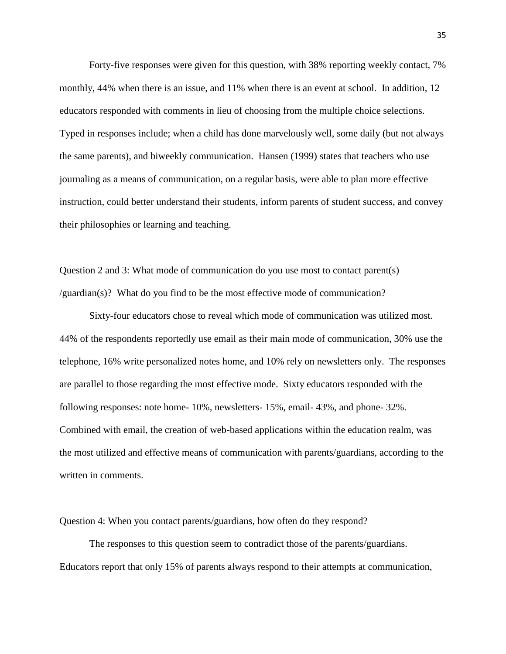Forty-five responses were given for this question, with 38% reporting weekly contact, 7% monthly, 44% when there is an issue, and 11% when there is an event at school. In addition, 12 educators responded with comments in lieu of choosing from the multiple choice selections. Typed in responses include; when a child has done marvelously well, some daily (but not always the same parents), and biweekly communication. Hansen (1999) states that teachers who use journaling as a means of communication, on a regular basis, were able to plan more effective instruction, could better understand their students, inform parents of student success, and convey their philosophies or learning and teaching.

Question 2 and 3: What mode of communication do you use most to contact parent(s) /guardian(s)? What do you find to be the most effective mode of communication?

Sixty-four educators chose to reveal which mode of communication was utilized most. 44% of the respondents reportedly use email as their main mode of communication, 30% use the telephone, 16% write personalized notes home, and 10% rely on newsletters only. The responses are parallel to those regarding the most effective mode. Sixty educators responded with the following responses: note home- 10%, newsletters- 15%, email- 43%, and phone- 32%. Combined with email, the creation of web-based applications within the education realm, was the most utilized and effective means of communication with parents/guardians, according to the written in comments.

Question 4: When you contact parents/guardians, how often do they respond?

The responses to this question seem to contradict those of the parents/guardians. Educators report that only 15% of parents always respond to their attempts at communication,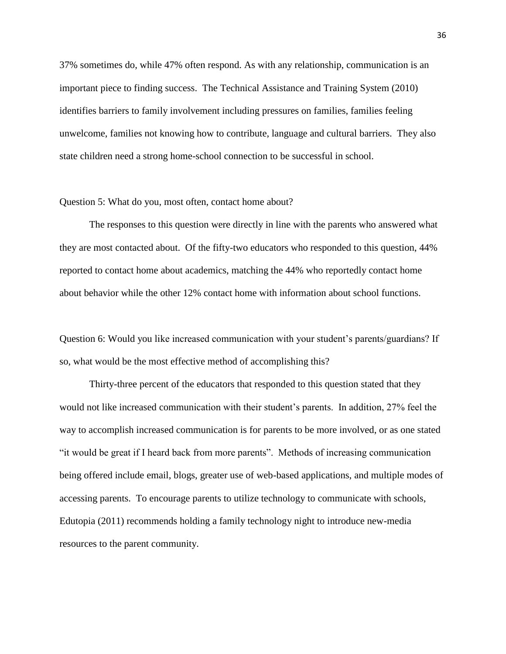37% sometimes do, while 47% often respond. As with any relationship, communication is an important piece to finding success. The Technical Assistance and Training System (2010) identifies barriers to family involvement including pressures on families, families feeling unwelcome, families not knowing how to contribute, language and cultural barriers. They also state children need a strong home-school connection to be successful in school.

#### Question 5: What do you, most often, contact home about?

The responses to this question were directly in line with the parents who answered what they are most contacted about. Of the fifty-two educators who responded to this question, 44% reported to contact home about academics, matching the 44% who reportedly contact home about behavior while the other 12% contact home with information about school functions.

Question 6: Would you like increased communication with your student's parents/guardians? If so, what would be the most effective method of accomplishing this?

Thirty-three percent of the educators that responded to this question stated that they would not like increased communication with their student's parents. In addition, 27% feel the way to accomplish increased communication is for parents to be more involved, or as one stated "it would be great if I heard back from more parents". Methods of increasing communication being offered include email, blogs, greater use of web-based applications, and multiple modes of accessing parents. To encourage parents to utilize technology to communicate with schools, Edutopia (2011) recommends holding a family technology night to introduce new-media resources to the parent community.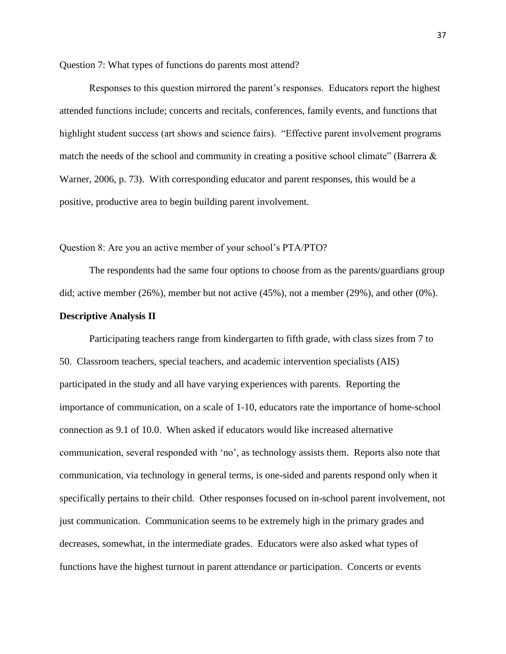Question 7: What types of functions do parents most attend?

Responses to this question mirrored the parent's responses. Educators report the highest attended functions include; concerts and recitals, conferences, family events, and functions that highlight student success (art shows and science fairs). "Effective parent involvement programs match the needs of the school and community in creating a positive school climate" (Barrera  $\&$ Warner, 2006, p. 73). With corresponding educator and parent responses, this would be a positive, productive area to begin building parent involvement.

Question 8: Are you an active member of your school's PTA/PTO?

The respondents had the same four options to choose from as the parents/guardians group did; active member (26%), member but not active (45%), not a member (29%), and other (0%).

## **Descriptive Analysis II**

Participating teachers range from kindergarten to fifth grade, with class sizes from 7 to 50. Classroom teachers, special teachers, and academic intervention specialists (AIS) participated in the study and all have varying experiences with parents. Reporting the importance of communication, on a scale of 1-10, educators rate the importance of home-school connection as 9.1 of 10.0. When asked if educators would like increased alternative communication, several responded with 'no', as technology assists them. Reports also note that communication, via technology in general terms, is one-sided and parents respond only when it specifically pertains to their child. Other responses focused on in-school parent involvement, not just communication. Communication seems to be extremely high in the primary grades and decreases, somewhat, in the intermediate grades. Educators were also asked what types of functions have the highest turnout in parent attendance or participation. Concerts or events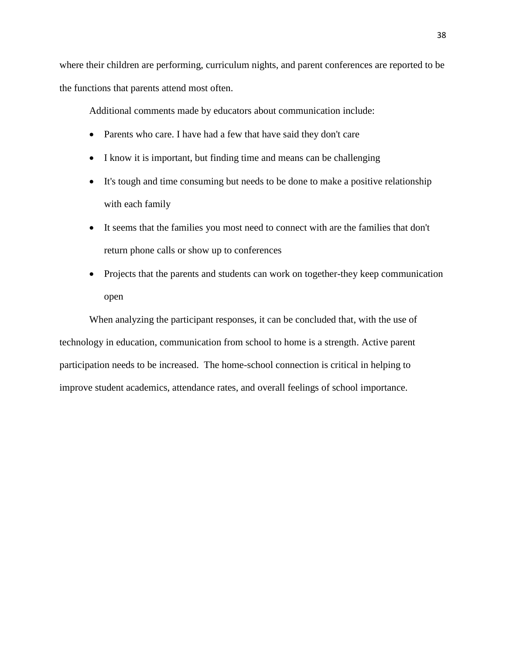where their children are performing, curriculum nights, and parent conferences are reported to be the functions that parents attend most often.

Additional comments made by educators about communication include:

- Parents who care. I have had a few that have said they don't care
- I know it is important, but finding time and means can be challenging
- It's tough and time consuming but needs to be done to make a positive relationship with each family
- It seems that the families you most need to connect with are the families that don't return phone calls or show up to conferences
- Projects that the parents and students can work on together-they keep communication open

When analyzing the participant responses, it can be concluded that, with the use of technology in education, communication from school to home is a strength. Active parent participation needs to be increased. The home-school connection is critical in helping to improve student academics, attendance rates, and overall feelings of school importance.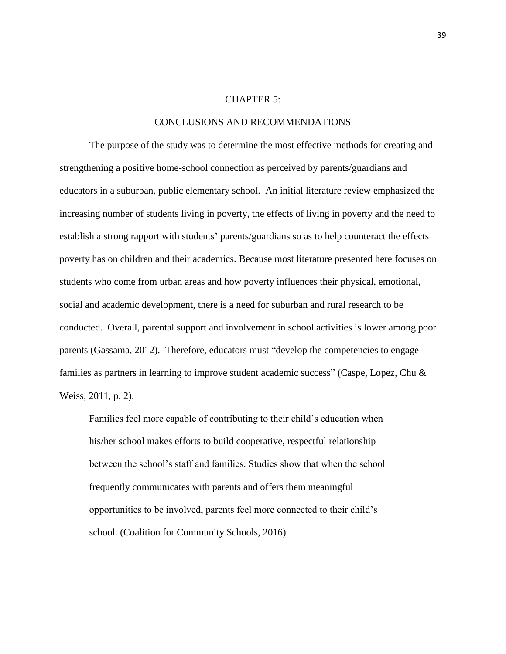#### CHAPTER 5:

## CONCLUSIONS AND RECOMMENDATIONS

The purpose of the study was to determine the most effective methods for creating and strengthening a positive home-school connection as perceived by parents/guardians and educators in a suburban, public elementary school. An initial literature review emphasized the increasing number of students living in poverty, the effects of living in poverty and the need to establish a strong rapport with students' parents/guardians so as to help counteract the effects poverty has on children and their academics. Because most literature presented here focuses on students who come from urban areas and how poverty influences their physical, emotional, social and academic development, there is a need for suburban and rural research to be conducted. Overall, parental support and involvement in school activities is lower among poor parents (Gassama, 2012). Therefore, educators must "develop the competencies to engage families as partners in learning to improve student academic success" (Caspe, Lopez, Chu & Weiss, 2011, p. 2).

Families feel more capable of contributing to their child's education when his/her school makes efforts to build cooperative, respectful relationship between the school's staff and families. Studies show that when the school frequently communicates with parents and offers them meaningful opportunities to be involved, parents feel more connected to their child's school. (Coalition for Community Schools, 2016).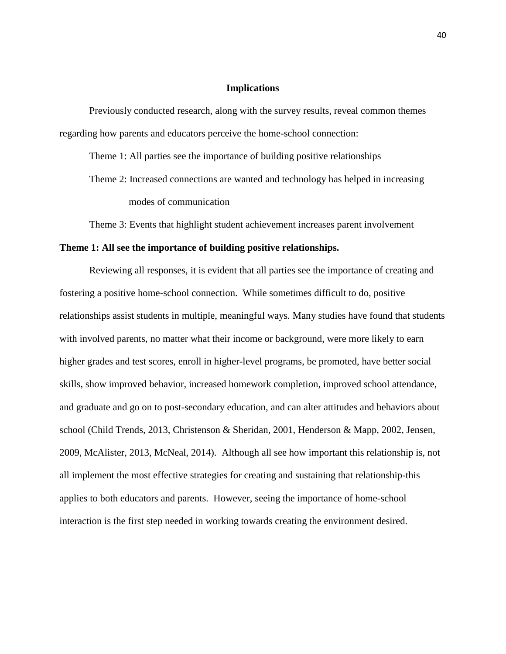## **Implications**

Previously conducted research, along with the survey results, reveal common themes regarding how parents and educators perceive the home-school connection:

Theme 1: All parties see the importance of building positive relationships

Theme 2: Increased connections are wanted and technology has helped in increasing modes of communication

Theme 3: Events that highlight student achievement increases parent involvement

## **Theme 1: All see the importance of building positive relationships.**

Reviewing all responses, it is evident that all parties see the importance of creating and fostering a positive home-school connection. While sometimes difficult to do, positive relationships assist students in multiple, meaningful ways. Many studies have found that students with involved parents, no matter what their income or background, were more likely to earn higher grades and test scores, enroll in higher-level programs, be promoted, have better social skills, show improved behavior, increased homework completion, improved school attendance, and graduate and go on to post-secondary education, and can alter attitudes and behaviors about school (Child Trends, 2013, Christenson & Sheridan, 2001, Henderson & Mapp, 2002, Jensen, 2009, McAlister, 2013, McNeal, 2014). Although all see how important this relationship is, not all implement the most effective strategies for creating and sustaining that relationship-this applies to both educators and parents. However, seeing the importance of home-school interaction is the first step needed in working towards creating the environment desired.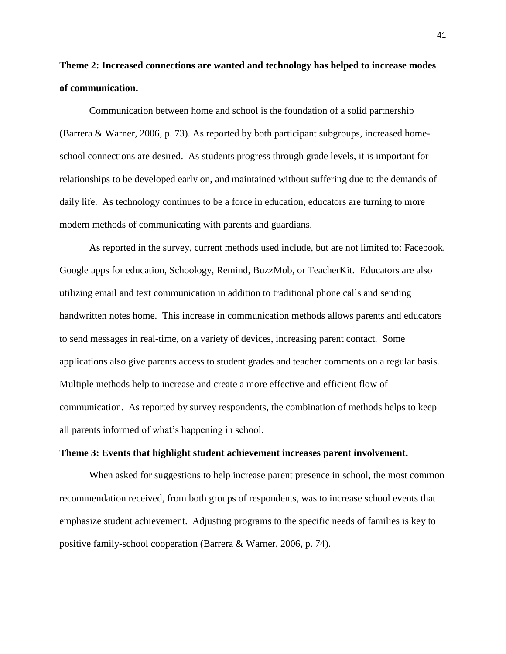# **Theme 2: Increased connections are wanted and technology has helped to increase modes of communication.**

Communication between home and school is the foundation of a solid partnership (Barrera & Warner, 2006, p. 73). As reported by both participant subgroups, increased homeschool connections are desired. As students progress through grade levels, it is important for relationships to be developed early on, and maintained without suffering due to the demands of daily life. As technology continues to be a force in education, educators are turning to more modern methods of communicating with parents and guardians.

As reported in the survey, current methods used include, but are not limited to: Facebook, Google apps for education, Schoology, Remind, BuzzMob, or TeacherKit. Educators are also utilizing email and text communication in addition to traditional phone calls and sending handwritten notes home. This increase in communication methods allows parents and educators to send messages in real-time, on a variety of devices, increasing parent contact. Some applications also give parents access to student grades and teacher comments on a regular basis. Multiple methods help to increase and create a more effective and efficient flow of communication. As reported by survey respondents, the combination of methods helps to keep all parents informed of what's happening in school.

#### **Theme 3: Events that highlight student achievement increases parent involvement.**

When asked for suggestions to help increase parent presence in school, the most common recommendation received, from both groups of respondents, was to increase school events that emphasize student achievement. Adjusting programs to the specific needs of families is key to positive family-school cooperation (Barrera & Warner, 2006, p. 74).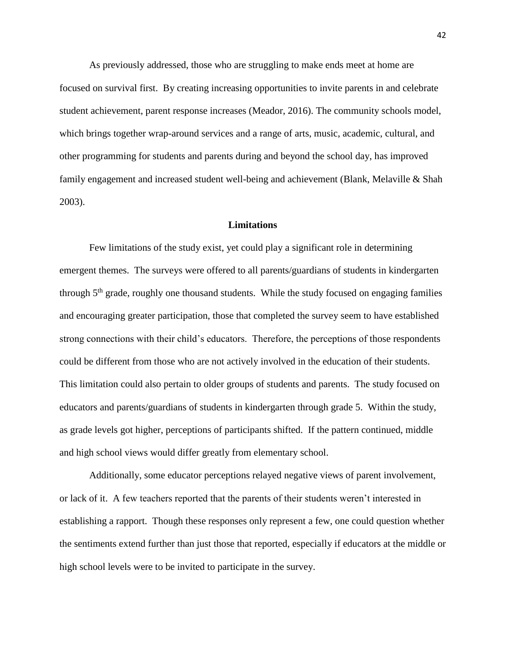As previously addressed, those who are struggling to make ends meet at home are focused on survival first. By creating increasing opportunities to invite parents in and celebrate student achievement, parent response increases (Meador, 2016). The community schools model, which brings together wrap-around services and a range of arts, music, academic, cultural, and other programming for students and parents during and beyond the school day, has improved family engagement and increased student well-being and achievement (Blank, Melaville & Shah 2003).

## **Limitations**

Few limitations of the study exist, yet could play a significant role in determining emergent themes. The surveys were offered to all parents/guardians of students in kindergarten through 5<sup>th</sup> grade, roughly one thousand students. While the study focused on engaging families and encouraging greater participation, those that completed the survey seem to have established strong connections with their child's educators. Therefore, the perceptions of those respondents could be different from those who are not actively involved in the education of their students. This limitation could also pertain to older groups of students and parents. The study focused on educators and parents/guardians of students in kindergarten through grade 5. Within the study, as grade levels got higher, perceptions of participants shifted. If the pattern continued, middle and high school views would differ greatly from elementary school.

Additionally, some educator perceptions relayed negative views of parent involvement, or lack of it. A few teachers reported that the parents of their students weren't interested in establishing a rapport. Though these responses only represent a few, one could question whether the sentiments extend further than just those that reported, especially if educators at the middle or high school levels were to be invited to participate in the survey.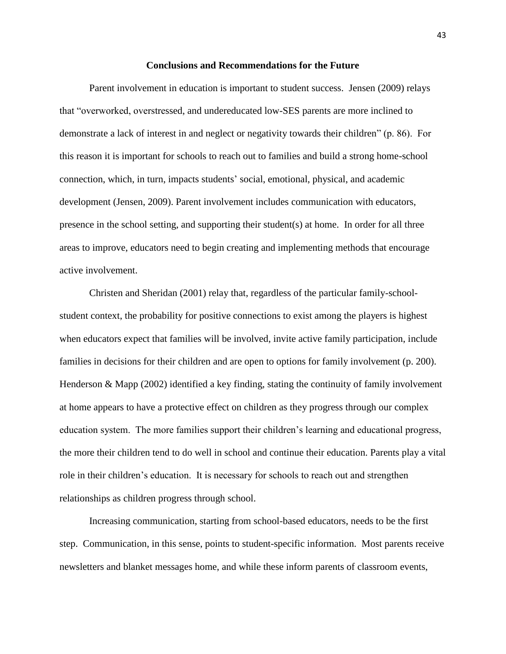#### **Conclusions and Recommendations for the Future**

Parent involvement in education is important to student success. Jensen (2009) relays that "overworked, overstressed, and undereducated low-SES parents are more inclined to demonstrate a lack of interest in and neglect or negativity towards their children" (p. 86). For this reason it is important for schools to reach out to families and build a strong home-school connection, which, in turn, impacts students' social, emotional, physical, and academic development (Jensen, 2009). Parent involvement includes communication with educators, presence in the school setting, and supporting their student(s) at home. In order for all three areas to improve, educators need to begin creating and implementing methods that encourage active involvement.

Christen and Sheridan (2001) relay that, regardless of the particular family-schoolstudent context, the probability for positive connections to exist among the players is highest when educators expect that families will be involved, invite active family participation, include families in decisions for their children and are open to options for family involvement (p. 200). Henderson  $\&$  Mapp (2002) identified a key finding, stating the continuity of family involvement at home appears to have a protective effect on children as they progress through our complex education system. The more families support their children's learning and educational progress, the more their children tend to do well in school and continue their education. Parents play a vital role in their children's education. It is necessary for schools to reach out and strengthen relationships as children progress through school.

Increasing communication, starting from school-based educators, needs to be the first step. Communication, in this sense, points to student-specific information. Most parents receive newsletters and blanket messages home, and while these inform parents of classroom events,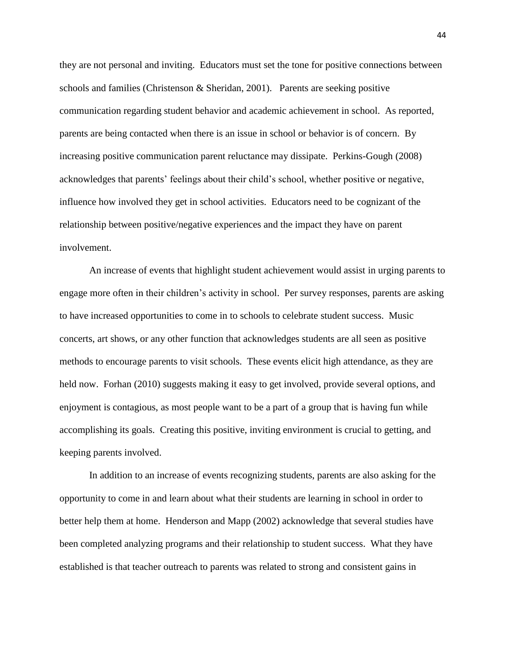they are not personal and inviting. Educators must set the tone for positive connections between schools and families (Christenson & Sheridan, 2001). Parents are seeking positive communication regarding student behavior and academic achievement in school. As reported, parents are being contacted when there is an issue in school or behavior is of concern. By increasing positive communication parent reluctance may dissipate. Perkins-Gough (2008) acknowledges that parents' feelings about their child's school, whether positive or negative, influence how involved they get in school activities. Educators need to be cognizant of the relationship between positive/negative experiences and the impact they have on parent involvement.

An increase of events that highlight student achievement would assist in urging parents to engage more often in their children's activity in school. Per survey responses, parents are asking to have increased opportunities to come in to schools to celebrate student success. Music concerts, art shows, or any other function that acknowledges students are all seen as positive methods to encourage parents to visit schools. These events elicit high attendance, as they are held now. Forhan (2010) suggests making it easy to get involved, provide several options, and enjoyment is contagious, as most people want to be a part of a group that is having fun while accomplishing its goals. Creating this positive, inviting environment is crucial to getting, and keeping parents involved.

In addition to an increase of events recognizing students, parents are also asking for the opportunity to come in and learn about what their students are learning in school in order to better help them at home. Henderson and Mapp (2002) acknowledge that several studies have been completed analyzing programs and their relationship to student success. What they have established is that teacher outreach to parents was related to strong and consistent gains in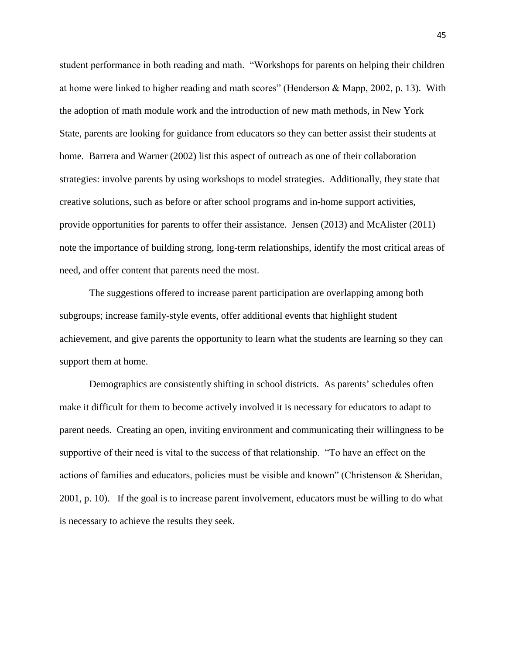student performance in both reading and math. "Workshops for parents on helping their children at home were linked to higher reading and math scores" (Henderson & Mapp, 2002, p. 13). With the adoption of math module work and the introduction of new math methods, in New York State, parents are looking for guidance from educators so they can better assist their students at home. Barrera and Warner (2002) list this aspect of outreach as one of their collaboration strategies: involve parents by using workshops to model strategies. Additionally, they state that creative solutions, such as before or after school programs and in-home support activities, provide opportunities for parents to offer their assistance. Jensen (2013) and McAlister (2011) note the importance of building strong, long-term relationships, identify the most critical areas of need, and offer content that parents need the most.

The suggestions offered to increase parent participation are overlapping among both subgroups; increase family-style events, offer additional events that highlight student achievement, and give parents the opportunity to learn what the students are learning so they can support them at home.

Demographics are consistently shifting in school districts. As parents' schedules often make it difficult for them to become actively involved it is necessary for educators to adapt to parent needs. Creating an open, inviting environment and communicating their willingness to be supportive of their need is vital to the success of that relationship. "To have an effect on the actions of families and educators, policies must be visible and known" (Christenson & Sheridan, 2001, p. 10). If the goal is to increase parent involvement, educators must be willing to do what is necessary to achieve the results they seek.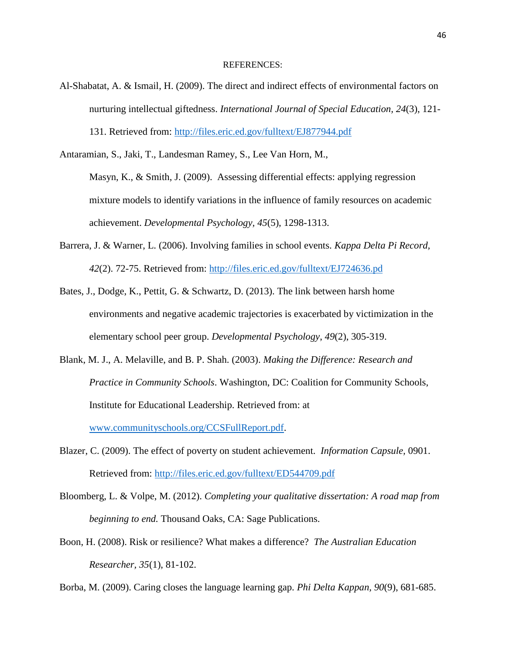#### REFERENCES:

Al-Shabatat, A. & Ismail, H. (2009). The direct and indirect effects of environmental factors on nurturing intellectual giftedness. *International Journal of Special Education, 24*(3), 121- 131. Retrieved from:<http://files.eric.ed.gov/fulltext/EJ877944.pdf>

Antaramian, S., Jaki, T., Landesman Ramey, S., Lee Van Horn, M.,

Masyn, K., & Smith, J. (2009). Assessing differential effects: applying regression mixture models to identify variations in the influence of family resources on academic achievement. *Developmental Psychology, 45*(5), 1298-1313.

- Barrera, J. & Warner, L. (2006). Involving families in school events. *Kappa Delta Pi Record, 42*(2). 72-75. Retrieved from:<http://files.eric.ed.gov/fulltext/EJ724636.pd>
- Bates, J., Dodge, K., Pettit, G. & Schwartz, D. (2013). The link between harsh home environments and negative academic trajectories is exacerbated by victimization in the elementary school peer group. *Developmental Psychology*, *49*(2), 305-319.
- Blank, M. J., A. Melaville, and B. P. Shah. (2003). *Making the Difference: Research and Practice in Community Schools*. Washington, DC: Coalition for Community Schools, Institute for Educational Leadership. Retrieved from: at [www.communityschools.org/CCSFullReport.pdf.](http://www.communityschools.org/CCSFullReport.pdf)
- Blazer, C. (2009). The effect of poverty on student achievement. *Information Capsule,* 0901. Retrieved from:<http://files.eric.ed.gov/fulltext/ED544709.pdf>
- Bloomberg, L. & Volpe, M. (2012). *Completing your qualitative dissertation: A road map from beginning to end.* Thousand Oaks, CA: Sage Publications.
- Boon, H. (2008). Risk or resilience? What makes a difference? *The Australian Education Researcher, 35*(1), 81-102.

Borba, M. (2009). Caring closes the language learning gap. *Phi Delta Kappan, 90*(9), 681-685.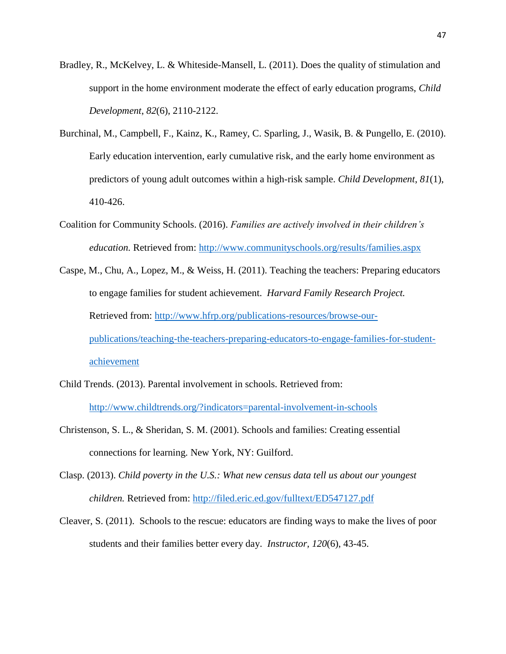- Bradley, R., McKelvey, L. & Whiteside-Mansell, L. (2011). Does the quality of stimulation and support in the home environment moderate the effect of early education programs, *Child Development*, *82*(6), 2110-2122.
- Burchinal, M., Campbell, F., Kainz, K., Ramey, C. Sparling, J., Wasik, B. & Pungello, E. (2010). Early education intervention, early cumulative risk, and the early home environment as predictors of young adult outcomes within a high-risk sample. *Child Development*, *81*(1), 410-426.
- Coalition for Community Schools. (2016). *Families are actively involved in their children's education.* Retrieved from:<http://www.communityschools.org/results/families.aspx>
- Caspe, M., Chu, A., Lopez, M., & Weiss, H. (2011). Teaching the teachers: Preparing educators to engage families for student achievement. *Harvard Family Research Project.* Retrieved from: [http://www.hfrp.org/publications-resources/browse-our](http://www.hfrp.org/publications-resources/browse-our-publications/teaching-the-teachers-preparing-educators-to-engage-families-for-student-achievement)[publications/teaching-the-teachers-preparing-educators-to-engage-families-for-student](http://www.hfrp.org/publications-resources/browse-our-publications/teaching-the-teachers-preparing-educators-to-engage-families-for-student-achievement)[achievement](http://www.hfrp.org/publications-resources/browse-our-publications/teaching-the-teachers-preparing-educators-to-engage-families-for-student-achievement)
- Child Trends. (2013). Parental involvement in schools. Retrieved from: <http://www.childtrends.org/?indicators=parental-involvement-in-schools>
- Christenson, S. L., & Sheridan, S. M. (2001). Schools and families: Creating essential connections for learning. New York, NY: Guilford.
- Clasp. (2013). *Child poverty in the U.S.: What new census data tell us about our youngest children.* Retrieved from:<http://filed.eric.ed.gov/fulltext/ED547127.pdf>
- Cleaver, S. (2011). Schools to the rescue: educators are finding ways to make the lives of poor students and their families better every day. *Instructor, 120*(6), 43-45.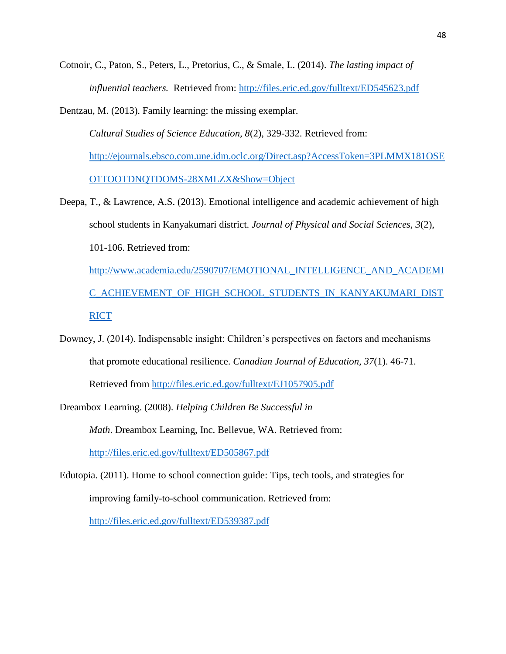Cotnoir, C., Paton, S., Peters, L., Pretorius, C., & Smale, L. (2014). *The lasting impact of influential teachers.* Retrieved from:<http://files.eric.ed.gov/fulltext/ED545623.pdf>

Dentzau, M. (2013). Family learning: the missing exemplar. *Cultural Studies of Science Education, 8*(2), 329-332. Retrieved from: [http://ejournals.ebsco.com.une.idm.oclc.org/Direct.asp?AccessToken=3PLMMX181OSE](http://ejournals.ebsco.com.une.idm.oclc.org/Direct.asp?AccessToken=3PLMMX181OSEO1TOOTDNQTDOMS-28XMLZX&Show=Object) [O1TOOTDNQTDOMS-28XMLZX&Show=Object](http://ejournals.ebsco.com.une.idm.oclc.org/Direct.asp?AccessToken=3PLMMX181OSEO1TOOTDNQTDOMS-28XMLZX&Show=Object)

Deepa, T., & Lawrence, A.S. (2013). Emotional intelligence and academic achievement of high school students in Kanyakumari district. *Journal of Physical and Social Sciences, 3*(2), 101-106. Retrieved from: [http://www.academia.edu/2590707/EMOTIONAL\\_INTELLIGENCE\\_AND\\_ACADEMI](http://www.academia.edu/2590707/EMOTIONAL_INTELLIGENCE_AND_ACADEMIC_ACHIEVEMENT_OF_HIGH_SCHOOL_STUDENTS_IN_KANYAKUMARI_DISTRICT)

[C\\_ACHIEVEMENT\\_OF\\_HIGH\\_SCHOOL\\_STUDENTS\\_IN\\_KANYAKUMARI\\_DIST](http://www.academia.edu/2590707/EMOTIONAL_INTELLIGENCE_AND_ACADEMIC_ACHIEVEMENT_OF_HIGH_SCHOOL_STUDENTS_IN_KANYAKUMARI_DISTRICT) **[RICT](http://www.academia.edu/2590707/EMOTIONAL_INTELLIGENCE_AND_ACADEMIC_ACHIEVEMENT_OF_HIGH_SCHOOL_STUDENTS_IN_KANYAKUMARI_DISTRICT)** 

Downey, J. (2014). Indispensable insight: Children's perspectives on factors and mechanisms that promote educational resilience. *Canadian Journal of Education, 37*(1). 46-71.

Retrieved from<http://files.eric.ed.gov/fulltext/EJ1057905.pdf>

Dreambox Learning. (2008). *Helping Children Be Successful in* 

*Math*. Dreambox Learning, Inc. Bellevue, WA. Retrieved from:

<http://files.eric.ed.gov/fulltext/ED505867.pdf>

Edutopia. (2011). Home to school connection guide: Tips, tech tools, and strategies for improving family-to-school communication. Retrieved from:

<http://files.eric.ed.gov/fulltext/ED539387.pdf>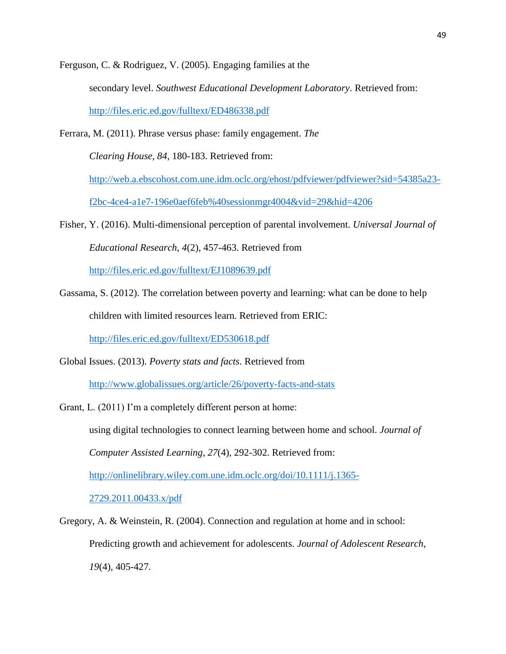Ferguson, C. & Rodriguez, V. (2005). Engaging families at the secondary level. *Southwest Educational Development Laboratory*. Retrieved from: <http://files.eric.ed.gov/fulltext/ED486338.pdf>

Ferrara, M. (2011). Phrase versus phase: family engagement. *The* 

*Clearing House, 84*, 180-183. Retrieved from:

[http://web.a.ebscohost.com.une.idm.oclc.org/ehost/pdfviewer/pdfviewer?sid=54385a23-](http://web.a.ebscohost.com.une.idm.oclc.org/ehost/pdfviewer/pdfviewer?sid=54385a23-f2bc-4ce4-a1e7-196e0aef6feb%40sessionmgr4004&vid=29&hid=4206)

[f2bc-4ce4-a1e7-196e0aef6feb%40sessionmgr4004&vid=29&hid=4206](http://web.a.ebscohost.com.une.idm.oclc.org/ehost/pdfviewer/pdfviewer?sid=54385a23-f2bc-4ce4-a1e7-196e0aef6feb%40sessionmgr4004&vid=29&hid=4206)

Fisher, Y. (2016). Multi-dimensional perception of parental involvement. *Universal Journal of Educational Research, 4*(2), 457-463. Retrieved from

<http://files.eric.ed.gov/fulltext/EJ1089639.pdf>

Gassama, S. (2012). The correlation between poverty and learning: what can be done to help children with limited resources learn. Retrieved from ERIC:

<http://files.eric.ed.gov/fulltext/ED530618.pdf>

Global Issues. (2013). *Poverty stats and facts*. Retrieved from

<http://www.globalissues.org/article/26/poverty-facts-and-stats>

- Grant, L. (2011) I'm a completely different person at home: using digital technologies to connect learning between home and school. *Journal of Computer Assisted Learning*, *27*(4), 292-302. Retrieved from: [http://onlinelibrary.wiley.com.une.idm.oclc.org/doi/10.1111/j.1365-](http://onlinelibrary.wiley.com.une.idm.oclc.org/doi/10.1111/j.1365-2729.2011.00433.x/pdf) [2729.2011.00433.x/pdf](http://onlinelibrary.wiley.com.une.idm.oclc.org/doi/10.1111/j.1365-2729.2011.00433.x/pdf)
- Gregory, A. & Weinstein, R. (2004). Connection and regulation at home and in school: Predicting growth and achievement for adolescents. *Journal of Adolescent Research*, *19*(4), 405-427.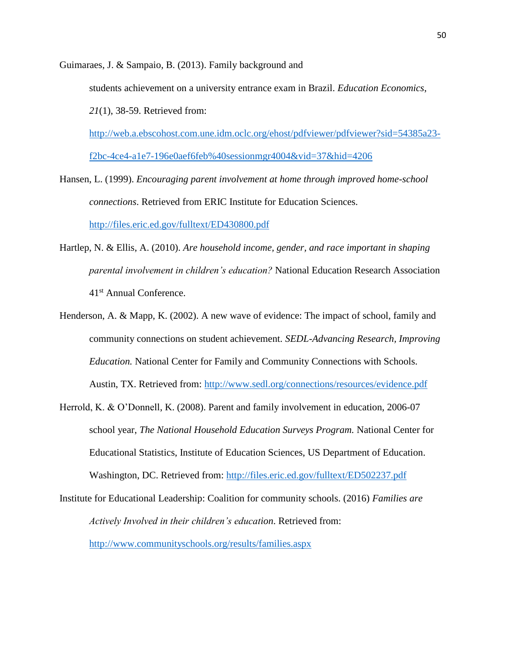Guimaraes, J. & Sampaio, B. (2013). Family background and students achievement on a university entrance exam in Brazil. *Education Economics*, *21*(1), 38-59. Retrieved from:

[http://web.a.ebscohost.com.une.idm.oclc.org/ehost/pdfviewer/pdfviewer?sid=54385a23](http://web.a.ebscohost.com.une.idm.oclc.org/ehost/pdfviewer/pdfviewer?sid=54385a23-f2bc-4ce4-a1e7-196e0aef6feb%40sessionmgr4004&vid=37&hid=4206) [f2bc-4ce4-a1e7-196e0aef6feb%40sessionmgr4004&vid=37&hid=4206](http://web.a.ebscohost.com.une.idm.oclc.org/ehost/pdfviewer/pdfviewer?sid=54385a23-f2bc-4ce4-a1e7-196e0aef6feb%40sessionmgr4004&vid=37&hid=4206)

Hansen, L. (1999). *Encouraging parent involvement at home through improved home-school connections*. Retrieved from ERIC Institute for Education Sciences. <http://files.eric.ed.gov/fulltext/ED430800.pdf>

Hartlep, N. & Ellis, A. (2010). *Are household income, gender, and race important in shaping parental involvement in children's education?* National Education Research Association

41st Annual Conference.

- Henderson, A. & Mapp, K. (2002). A new wave of evidence: The impact of school, family and community connections on student achievement. *SEDL-Advancing Research, Improving Education.* National Center for Family and Community Connections with Schools. Austin, TX. Retrieved from:<http://www.sedl.org/connections/resources/evidence.pdf>
- Herrold, K. & O'Donnell, K. (2008). Parent and family involvement in education, 2006-07 school year, *The National Household Education Surveys Program.* National Center for Educational Statistics, Institute of Education Sciences, US Department of Education. Washington, DC. Retrieved from:<http://files.eric.ed.gov/fulltext/ED502237.pdf>

Institute for Educational Leadership: Coalition for community schools. (2016) *Families are Actively Involved in their children's education*. Retrieved from: <http://www.communityschools.org/results/families.aspx>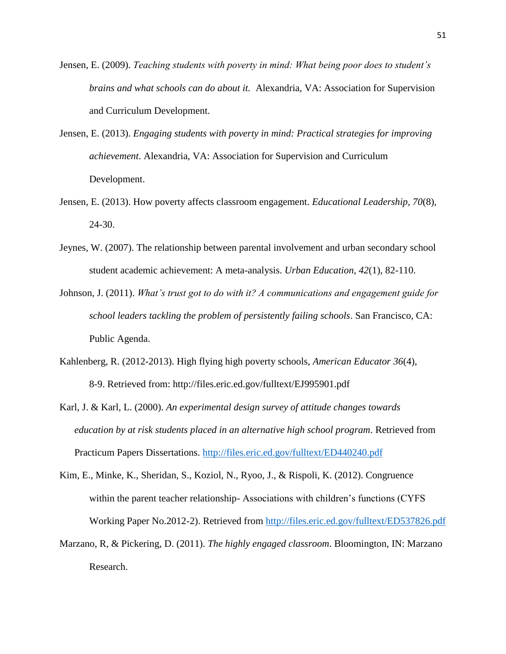- Jensen, E. (2009). *Teaching students with poverty in mind: What being poor does to student's brains and what schools can do about it.* Alexandria, VA: Association for Supervision and Curriculum Development.
- Jensen, E. (2013). *Engaging students with poverty in mind: Practical strategies for improving achievement*. Alexandria, VA: Association for Supervision and Curriculum Development.
- Jensen, E. (2013). How poverty affects classroom engagement. *Educational Leadership, 70*(8), 24-30.
- Jeynes, W. (2007). The relationship between parental involvement and urban secondary school student academic achievement: A meta-analysis. *Urban Education, 42*(1), 82-110.
- Johnson, J. (2011). *What's trust got to do with it? A communications and engagement guide for school leaders tackling the problem of persistently failing schools*. San Francisco, CA: Public Agenda.
- Kahlenberg, R. (2012-2013). High flying high poverty schools, *American Educator 36*(4), 8-9. Retrieved from: http://files.eric.ed.gov/fulltext/EJ995901.pdf
- Karl, J. & Karl, L. (2000). *An experimental design survey of attitude changes towards education by at risk students placed in an alternative high school program*. Retrieved from Practicum Papers Dissertations.<http://files.eric.ed.gov/fulltext/ED440240.pdf>
- Kim, E., Minke, K., Sheridan, S., Koziol, N., Ryoo, J., & Rispoli, K. (2012). Congruence within the parent teacher relationship- Associations with children's functions (CYFS Working Paper No.2012-2). Retrieved from<http://files.eric.ed.gov/fulltext/ED537826.pdf>
- Marzano, R, & Pickering, D. (2011). *The highly engaged classroom*. Bloomington, IN: Marzano Research.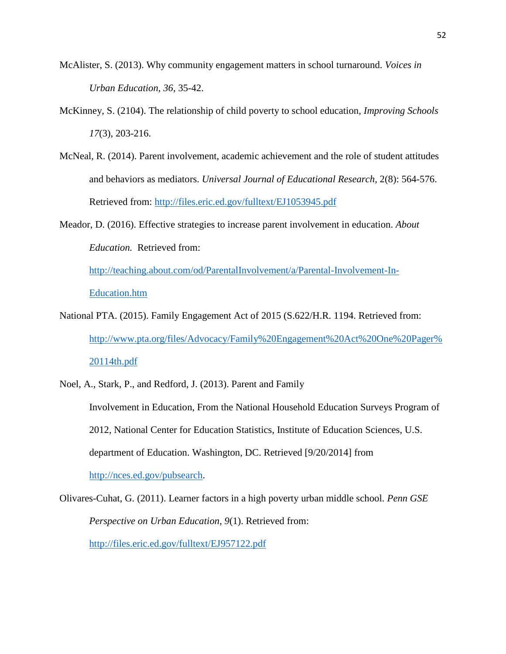- McAlister, S. (2013). Why community engagement matters in school turnaround. *Voices in Urban Education, 36*, 35-42.
- McKinney, S. (2104). The relationship of child poverty to school education, *Improving Schools 17*(3), 203-216.
- McNeal, R. (2014). Parent involvement, academic achievement and the role of student attitudes and behaviors as mediators. *Universal Journal of Educational Research*, 2(8): 564-576. Retrieved from:<http://files.eric.ed.gov/fulltext/EJ1053945.pdf>
- Meador, D. (2016). Effective strategies to increase parent involvement in education. *About Education.* Retrieved from:

[http://teaching.about.com/od/ParentalInvolvement/a/Parental-Involvement-In-](http://teaching.about.com/od/ParentalInvolvement/a/Parental-Involvement-In-Education.htm)[Education.htm](http://teaching.about.com/od/ParentalInvolvement/a/Parental-Involvement-In-Education.htm)

National PTA. (2015). Family Engagement Act of 2015 (S.622/H.R. 1194. Retrieved from: [http://www.pta.org/files/Advocacy/Family%20Engagement%20Act%20One%20Pager%](http://www.pta.org/files/Advocacy/Family%20Engagement%20Act%20One%20Pager%20114th.pdf) [20114th.pdf](http://www.pta.org/files/Advocacy/Family%20Engagement%20Act%20One%20Pager%20114th.pdf)

Noel, A., Stark, P., and Redford, J. (2013). Parent and Family Involvement in Education, From the National Household Education Surveys Program of 2012, National Center for Education Statistics, Institute of Education Sciences, U.S. department of Education. Washington, DC. Retrieved [9/20/2014] from [http://nces.ed.gov/pubsearch.](http://nces.ed.gov/pubsearch) Olivares-Cuhat, G. (2011). Learner factors in a high poverty urban middle school. *Penn GSE* 

*Perspective on Urban Education*, *9*(1). Retrieved from: <http://files.eric.ed.gov/fulltext/EJ957122.pdf>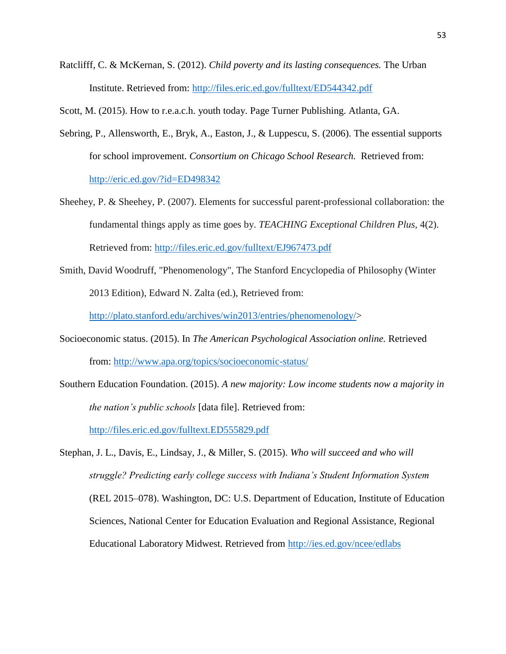Ratclifff, C. & McKernan, S. (2012). *Child poverty and its lasting consequences.* The Urban Institute. Retrieved from:<http://files.eric.ed.gov/fulltext/ED544342.pdf>

Scott, M. (2015). How to r.e.a.c.h. youth today. Page Turner Publishing. Atlanta, GA.

- Sebring, P., Allensworth, E., Bryk, A., Easton, J., & Luppescu, S. (2006). The essential supports for school improvement. *Consortium on Chicago School Research.* Retrieved from: <http://eric.ed.gov/?id=ED498342>
- Sheehey, P. & Sheehey, P. (2007). Elements for successful parent-professional collaboration: the fundamental things apply as time goes by. *TEACHING Exceptional Children Plus,* 4(2). Retrieved from:<http://files.eric.ed.gov/fulltext/EJ967473.pdf>
- Smith, David Woodruff, "Phenomenology", The Stanford Encyclopedia of Philosophy (Winter 2013 Edition), Edward N. Zalta (ed.), Retrieved from:

[http://plato.stanford.edu/archives/win2013/entries/phenomenology/>](http://plato.stanford.edu/archives/win2013/entries/phenomenology/)

- Socioeconomic status. (2015). In *The American Psychological Association online.* Retrieved from:<http://www.apa.org/topics/socioeconomic-status/>
- Southern Education Foundation. (2015). *A new majority: Low income students now a majority in the nation's public schools* [data file]. Retrieved from: <http://files.eric.ed.gov/fulltext.ED555829.pdf>

Stephan, J. L., Davis, E., Lindsay, J., & Miller, S. (2015). *Who will succeed and who will struggle? Predicting early college success with Indiana's Student Information System*  (REL 2015–078). Washington, DC: U.S. Department of Education, Institute of Education Sciences, National Center for Education Evaluation and Regional Assistance, Regional Educational Laboratory Midwest. Retrieved from<http://ies.ed.gov/ncee/edlabs>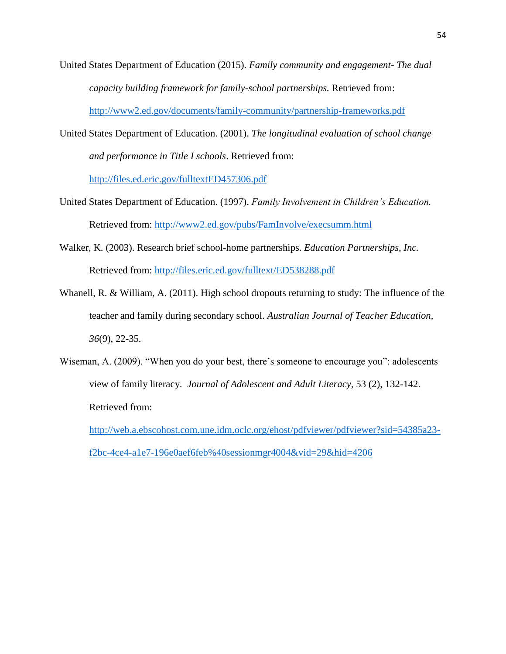- United States Department of Education (2015). *Family community and engagement- The dual capacity building framework for family-school partnerships.* Retrieved from: <http://www2.ed.gov/documents/family-community/partnership-frameworks.pdf>
- United States Department of Education. (2001). *The longitudinal evaluation of school change and performance in Title I schools*. Retrieved from: <http://files.ed.eric.gov/fulltextED457306.pdf>
- United States Department of Education. (1997). *Family Involvement in Children's Education.*  Retrieved from:<http://www2.ed.gov/pubs/FamInvolve/execsumm.html>
- Walker, K. (2003). Research brief school-home partnerships. *Education Partnerships, Inc.* Retrieved from:<http://files.eric.ed.gov/fulltext/ED538288.pdf>
- Whanell, R. & William, A. (2011). High school dropouts returning to study: The influence of the teacher and family during secondary school. *Australian Journal of Teacher Education, 36*(9), 22-35.
- Wiseman, A. (2009). "When you do your best, there's someone to encourage you": adolescents view of family literacy. *Journal of Adolescent and Adult Literacy,* 53 (2), 132-142. Retrieved from:

[http://web.a.ebscohost.com.une.idm.oclc.org/ehost/pdfviewer/pdfviewer?sid=54385a23](http://web.a.ebscohost.com.une.idm.oclc.org/ehost/pdfviewer/pdfviewer?sid=54385a23-f2bc-4ce4-a1e7-196e0aef6feb%40sessionmgr4004&vid=29&hid=4206) [f2bc-4ce4-a1e7-196e0aef6feb%40sessionmgr4004&vid=29&hid=4206](http://web.a.ebscohost.com.une.idm.oclc.org/ehost/pdfviewer/pdfviewer?sid=54385a23-f2bc-4ce4-a1e7-196e0aef6feb%40sessionmgr4004&vid=29&hid=4206)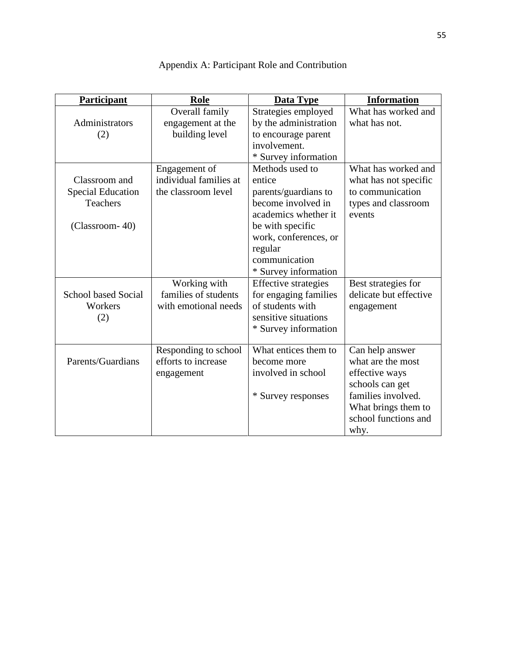| <b>Participant</b>         | Role                   | <b>Data Type</b>            | <b>Information</b>                          |
|----------------------------|------------------------|-----------------------------|---------------------------------------------|
|                            | Overall family         | Strategies employed         | What has worked and                         |
| Administrators             | engagement at the      | by the administration       | what has not.                               |
| (2)                        | building level         | to encourage parent         |                                             |
|                            |                        | involvement.                |                                             |
|                            |                        | * Survey information        |                                             |
|                            | Engagement of          | Methods used to             | What has worked and                         |
| Classroom and              | individual families at | entice                      | what has not specific                       |
| <b>Special Education</b>   | the classroom level    | parents/guardians to        | to communication                            |
| <b>Teachers</b>            |                        | become involved in          | types and classroom                         |
|                            |                        | academics whether it        | events                                      |
| (Classroom-40)             |                        | be with specific            |                                             |
|                            |                        | work, conferences, or       |                                             |
|                            |                        | regular                     |                                             |
|                            |                        | communication               |                                             |
|                            |                        | * Survey information        |                                             |
|                            | Working with           | <b>Effective strategies</b> | Best strategies for                         |
| <b>School based Social</b> | families of students   | for engaging families       | delicate but effective                      |
| Workers                    | with emotional needs   | of students with            | engagement                                  |
| (2)                        |                        | sensitive situations        |                                             |
|                            |                        | * Survey information        |                                             |
|                            | Responding to school   | What entices them to        | Can help answer                             |
| Parents/Guardians          | efforts to increase    | become more                 | what are the most                           |
|                            |                        | involved in school          |                                             |
|                            | engagement             |                             | effective ways                              |
|                            |                        |                             | schools can get<br>families involved.       |
|                            |                        | * Survey responses          |                                             |
|                            |                        |                             | What brings them to<br>school functions and |
|                            |                        |                             |                                             |
|                            |                        |                             | why.                                        |

Appendix A: Participant Role and Contribution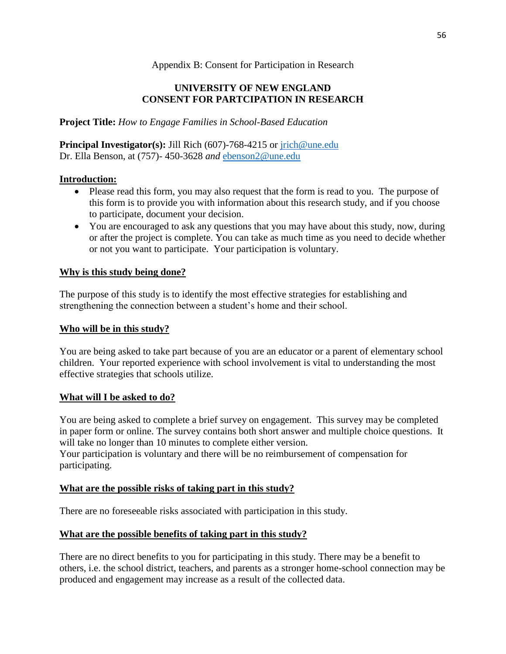## Appendix B: Consent for Participation in Research

# **UNIVERSITY OF NEW ENGLAND CONSENT FOR PARTCIPATION IN RESEARCH**

**Project Title:** *How to Engage Families in School-Based Education*

**Principal Investigator(s):** Jill Rich (607)-768-4215 or [jrich@une.edu](mailto:jrich@une.edu) Dr. Ella Benson, at (757)- 450-3628 *and* [ebenson2@une.edu](mailto:ebenson2@une.edu)

## **Introduction:**

- Please read this form, you may also request that the form is read to you. The purpose of this form is to provide you with information about this research study, and if you choose to participate, document your decision.
- You are encouraged to ask any questions that you may have about this study, now, during or after the project is complete. You can take as much time as you need to decide whether or not you want to participate. Your participation is voluntary.

## **Why is this study being done?**

The purpose of this study is to identify the most effective strategies for establishing and strengthening the connection between a student's home and their school.

## **Who will be in this study?**

You are being asked to take part because of you are an educator or a parent of elementary school children. Your reported experience with school involvement is vital to understanding the most effective strategies that schools utilize.

## **What will I be asked to do?**

You are being asked to complete a brief survey on engagement. This survey may be completed in paper form or online. The survey contains both short answer and multiple choice questions. It will take no longer than 10 minutes to complete either version.

Your participation is voluntary and there will be no reimbursement of compensation for participating.

## **What are the possible risks of taking part in this study?**

There are no foreseeable risks associated with participation in this study.

# **What are the possible benefits of taking part in this study?**

There are no direct benefits to you for participating in this study. There may be a benefit to others, i.e. the school district, teachers, and parents as a stronger home-school connection may be produced and engagement may increase as a result of the collected data.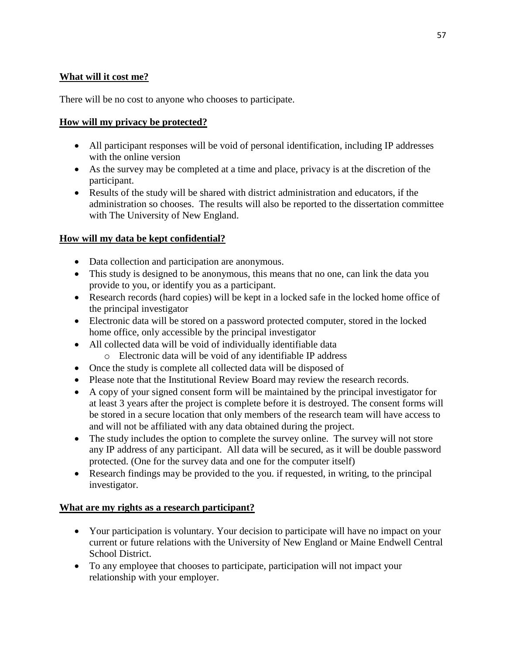# **What will it cost me?**

There will be no cost to anyone who chooses to participate.

## **How will my privacy be protected?**

- All participant responses will be void of personal identification, including IP addresses with the online version
- As the survey may be completed at a time and place, privacy is at the discretion of the participant.
- Results of the study will be shared with district administration and educators, if the administration so chooses. The results will also be reported to the dissertation committee with The University of New England.

# **How will my data be kept confidential?**

- Data collection and participation are anonymous.
- This study is designed to be anonymous, this means that no one, can link the data you provide to you, or identify you as a participant.
- Research records (hard copies) will be kept in a locked safe in the locked home office of the principal investigator
- Electronic data will be stored on a password protected computer, stored in the locked home office, only accessible by the principal investigator
- All collected data will be void of individually identifiable data
	- o Electronic data will be void of any identifiable IP address
- Once the study is complete all collected data will be disposed of
- Please note that the Institutional Review Board may review the research records.
- A copy of your signed consent form will be maintained by the principal investigator for at least 3 years after the project is complete before it is destroyed. The consent forms will be stored in a secure location that only members of the research team will have access to and will not be affiliated with any data obtained during the project.
- The study includes the option to complete the survey online. The survey will not store any IP address of any participant. All data will be secured, as it will be double password protected. (One for the survey data and one for the computer itself)
- Research findings may be provided to the you. if requested, in writing, to the principal investigator.

# **What are my rights as a research participant?**

- Your participation is voluntary. Your decision to participate will have no impact on your current or future relations with the University of New England or Maine Endwell Central School District.
- To any employee that chooses to participate, participation will not impact your relationship with your employer.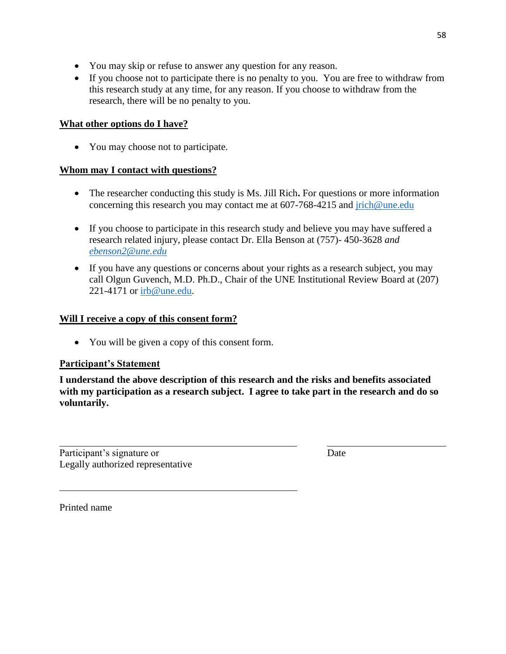- You may skip or refuse to answer any question for any reason.
- If you choose not to participate there is no penalty to you. You are free to withdraw from this research study at any time, for any reason. If you choose to withdraw from the research, there will be no penalty to you.

## **What other options do I have?**

• You may choose not to participate.

## **Whom may I contact with questions?**

- The researcher conducting this study is Ms. Jill Rich**.** For questions or more information concerning this research you may contact me at 607-768-4215 and [jrich@une.edu](mailto:jrich@une.edu)
- If you choose to participate in this research study and believe you may have suffered a research related injury, please contact Dr. Ella Benson at (757)- 450-3628 *and [ebenson2@une.edu](mailto:ebenson2@une.edu)*
- If you have any questions or concerns about your rights as a research subject, you may call Olgun Guvench, M.D. Ph.D., Chair of the UNE Institutional Review Board at (207) 221-4171 or [irb@une.edu.](mailto:irb@une.edu)

## **Will I receive a copy of this consent form?**

• You will be given a copy of this consent form.

# **Participant's Statement**

**I understand the above description of this research and the risks and benefits associated with my participation as a research subject. I agree to take part in the research and do so voluntarily.**

Participant's signature or Date Legally authorized representative

Printed name